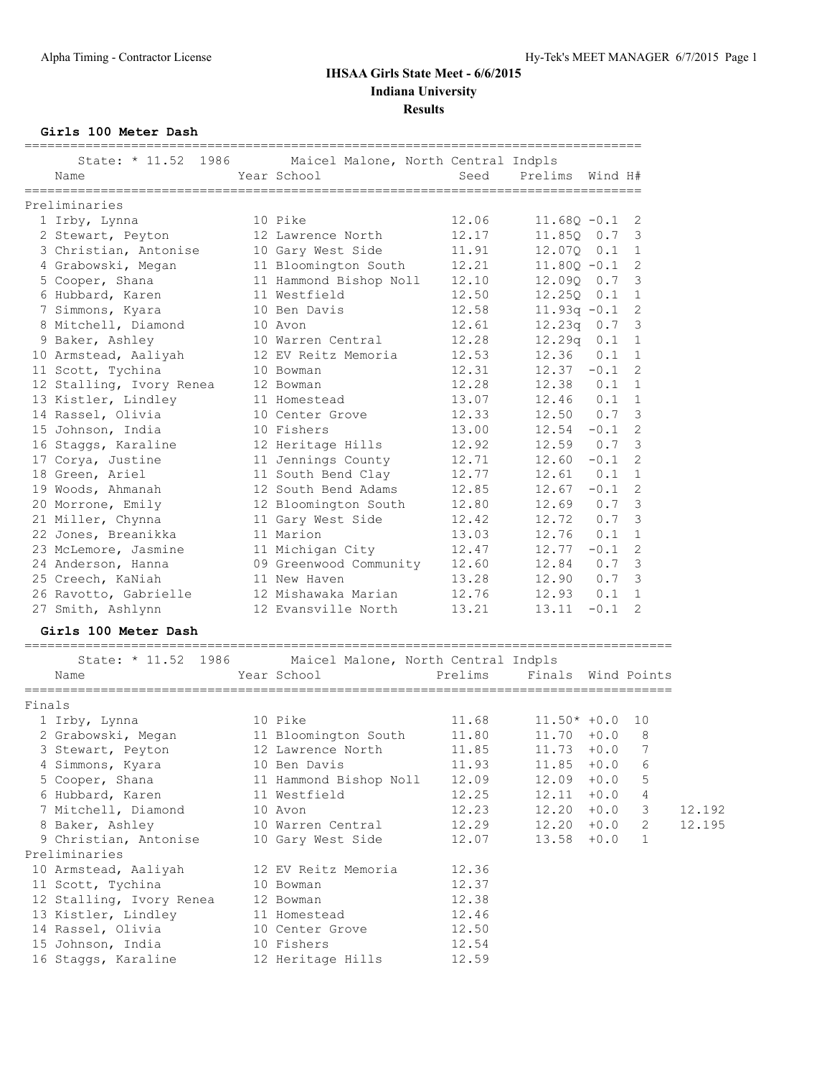**Girls 100 Meter Dash**

| Name                     | State: * 11.52 1986 Maicel Malone, North Central Indpls<br>Year School | Seed    | Prelims Wind H#    |               |                 |        |
|--------------------------|------------------------------------------------------------------------|---------|--------------------|---------------|-----------------|--------|
| Preliminaries            |                                                                        |         |                    |               |                 |        |
| 1 Irby, Lynna            | 10 Pike                                                                | 12.06   | $11.68Q - 0.1$     |               | 2               |        |
| 2 Stewart, Peyton        | 12 Lawrence North                                                      | 12.17   | 11.850 0.7         |               | 3               |        |
| 3 Christian, Antonise    | 10 Gary West Side                                                      | 11.91   | 12.070 0.1         |               | 1               |        |
| 4 Grabowski, Megan       | 11 Bloomington South                                                   | 12.21   | $11.80Q - 0.1$     |               | 2               |        |
| 5 Cooper, Shana          | 11 Hammond Bishop Noll                                                 | 12.10   | 12.090 0.7         |               | 3               |        |
| 6 Hubbard, Karen         | 11 Westfield                                                           | 12.50   | $12.250$ $0.1$     |               | - 1             |        |
| 7 Simmons, Kyara         | 10 Ben Davis                                                           | 12.58   | $11.93q -0.1$      |               | $\mathbf{2}$    |        |
| 8 Mitchell, Diamond      | 10 Avon                                                                | 12.61   | $12.23q$ 0.7       |               | 3               |        |
| 9 Baker, Ashley          | 10 Warren Central                                                      | 12.28   | $12.29q$ $0.1$     |               | 1               |        |
| 10 Armstead, Aaliyah     | 12 EV Reitz Memoria                                                    | 12.53   | 12.36              | 0.1           | 1               |        |
| 11 Scott, Tychina        | 10 Bowman                                                              | 12.31   | $12.37 -0.1$       |               | 2               |        |
| 12 Stalling, Ivory Renea | 12 Bowman                                                              | 12.28   | $12.38$ $0.1$      |               | 1               |        |
| 13 Kistler, Lindley      | 11 Homestead                                                           | 13.07   | $12.46$ 0.1        |               | $\mathbf{1}$    |        |
| 14 Rassel, Olivia        | 10 Center Grove                                                        | 12.33   | $12.50$ 0.7        |               | 3               |        |
| 15 Johnson, India        | 10 Fishers                                                             | 13.00   | $12.54 - 0.1$      |               | 2               |        |
| 16 Staggs, Karaline      | 12 Heritage Hills                                                      | 12.92   | $12.59$ 0.7        |               | 3               |        |
| 17 Corya, Justine        | 11 Jennings County                                                     | 12.71   | $12.60 - 0.1$      |               | 2               |        |
| 18 Green, Ariel          | 11 South Bend Clay                                                     | 12.77   | 12.61              | $0.1 \quad 1$ |                 |        |
| 19 Woods, Ahmanah        | 12 South Bend Adams                                                    | 12.85   | $12.67 - 0.1$      |               | $\mathbf{2}$    |        |
| 20 Morrone, Emily        | 12 Bloomington South                                                   | 12.80   | $12.69$ 0.7        |               | 3               |        |
| 21 Miller, Chynna        | 11 Gary West Side                                                      | 12.42   | 12.72              | 0.7           | 3               |        |
| 22 Jones, Breanikka      | 11 Marion                                                              | 13.03   | $12.76$ $0.1$      |               | 1               |        |
| 23 McLemore, Jasmine     | 11 Michigan City                                                       | 12.47   | $12.77 - 0.1$      |               | $\mathbf{2}$    |        |
| 24 Anderson, Hanna       | 09 Greenwood Community                                                 | 12.60   | 12.84              | 0.7           | 3               |        |
| 25 Creech, KaNiah        | 11 New Haven                                                           | 13.28   | 12.90 0.7          |               | 3               |        |
| 26 Ravotto, Gabrielle    | 12 Mishawaka Marian                                                    | 12.76   | $12.93$ $0.1$      |               | $\mathbf{1}$    |        |
| 27 Smith, Ashlynn        | 12 Evansville North                                                    | 13.21   | $13.11 - 0.1$      |               | 2               |        |
| Girls 100 Meter Dash     |                                                                        |         |                    |               |                 |        |
|                          | State: * 11.52 1986 Maicel Malone, North Central Indpls                |         |                    |               |                 |        |
| Name                     | Year School                                                            | Prelims | Finals Wind Points |               |                 |        |
| Finals                   |                                                                        |         |                    |               |                 |        |
| 1 Irby, Lynna            | 10 Pike                                                                | 11.68   | $11.50* +0.0$      |               | 10              |        |
| 2 Grabowski, Megan       | 11 Bloomington South                                                   | 11.80   | $11.70 + 0.0$      |               | 8               |        |
| 3 Stewart, Peyton        | 12 Lawrence North                                                      | 11.85   | $11.73 + 0.0$      |               | $7\phantom{.0}$ |        |
| 4 Simmons, Kyara         | 10 Ben Davis                                                           | 11.93   | 11.85              | $+0.0$        | 6               |        |
| 5 Cooper, Shana          | 11 Hammond Bishop Noll                                                 | 12.09   | 12.09              | $+0.0$        | 5               |        |
| 6 Hubbard, Karen         | 11 Westfield                                                           | 12.25   | 12.11              | $+0.0$        | 4               |        |
| 7 Mitchell, Diamond      | 10 Avon                                                                | 12.23   | 12.20              | $+0.0$        | 3               | 12.192 |
| 8 Baker, Ashley          | 10 Warren Central                                                      | 12.29   | 12.20              | $+0.0$        | 2               | 12.195 |
| 9 Christian, Antonise    | 10 Gary West Side                                                      | 12.07   | 13.58              | $+0.0$        | $\mathbf{1}$    |        |
| Preliminaries            |                                                                        |         |                    |               |                 |        |

 10 Armstead, Aaliyah 12 EV Reitz Memoria 12.36 11 Scott, Tychina 10 Bowman 12.37 12 Stalling, Ivory Renea 12 Bowman 12.38 13 Kistler, Lindley 11 Homestead 12.46 14 Rassel, Olivia 10 Center Grove 12.50 15 Johnson, India 10 Fishers 12.54 16 Staggs, Karaline 12 Heritage Hills 12.59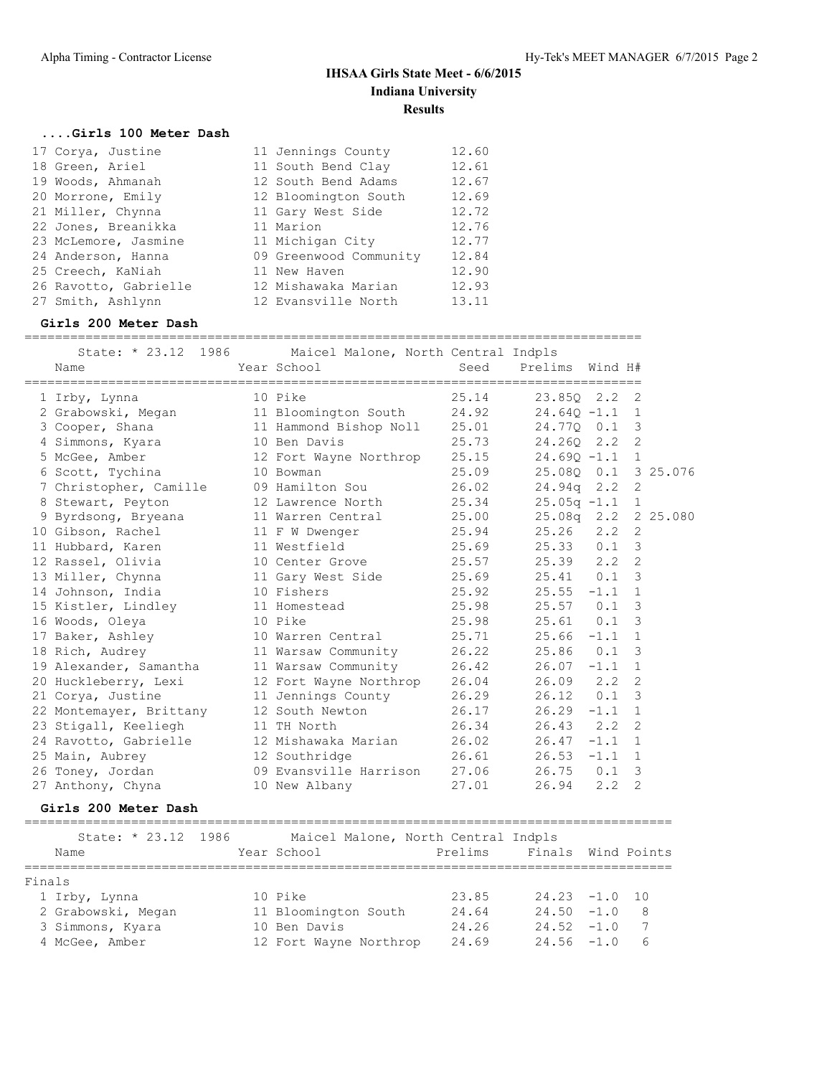#### **....Girls 100 Meter Dash**

|  | 17 Corya, Justine     | 11 Jennings County     | 12.60 |
|--|-----------------------|------------------------|-------|
|  | 18 Green, Ariel       | 11 South Bend Clay     | 12.61 |
|  | 19 Woods, Ahmanah     | 12 South Bend Adams    | 12.67 |
|  | 20 Morrone, Emily     | 12 Bloomington South   | 12.69 |
|  | 21 Miller, Chynna     | 11 Gary West Side      | 12.72 |
|  | 22 Jones, Breanikka   | 11 Marion              | 12.76 |
|  | 23 McLemore, Jasmine  | 11 Michigan City       | 12.77 |
|  | 24 Anderson, Hanna    | 09 Greenwood Community | 12.84 |
|  | 25 Creech, KaNiah     | 11 New Haven           | 12.90 |
|  | 26 Ravotto, Gabrielle | 12 Mishawaka Marian    | 12.93 |
|  | 27 Smith, Ashlynn     | 12 Evansville North    | 13.11 |
|  |                       |                        |       |

#### **Girls 200 Meter Dash**

=================================================================================

| State: * 23.12 1986                        |         | Maicel Malone, North Central Indpls |       |                         |               |                         |  |
|--------------------------------------------|---------|-------------------------------------|-------|-------------------------|---------------|-------------------------|--|
| Name                                       |         | Year School                         |       | Seed Prelims Wind H#    |               |                         |  |
| 1 Irby, Lynna                              |         | 10 Pike                             | 25.14 | 23.850 2.2 2            |               |                         |  |
| 2 Grabowski, Megan 11 Bloomington South    |         |                                     |       | $24.92$ $24.640 -1.1$ 1 |               |                         |  |
| 3 Cooper, Shana 11 Hammond Bishop Noll     |         |                                     | 25.01 | 24.770 0.1              |               | $\overline{3}$          |  |
| 4 Simmons, Kyara                           |         | 10 Ben Davis                        | 25.73 | 24.260 2.2 2            |               |                         |  |
| 5 McGee, Amber 12 Fort Wayne Northrop      |         |                                     | 25.15 | $24.690 - 1.1$          |               | 1                       |  |
| 6 Scott, Tychina                           |         | 10 Bowman                           | 25.09 | 25.080  0.1  3  25.076  |               |                         |  |
| 7 Christopher, Camille 09 Hamilton Sou     |         |                                     | 26.02 | $24.94q$ 2.2            |               | -2                      |  |
| 8 Stewart, Peyton                          |         | 12 Lawrence North                   | 25.34 | $25.05q -1.1$           |               | $\mathbf{1}$            |  |
| 9 Byrdsong, Bryeana 11 Warren Central      |         |                                     | 25.00 | 25.08q 2.2 2 25.080     |               |                         |  |
| 10 Gibson, Rachel 11 F W Dwenger           |         |                                     | 25.94 | 25.26                   | $2.2 \quad 2$ |                         |  |
| 11 Hubbard, Karen 11 Westfield             |         |                                     | 25.69 | $25.33$ 0.1 3           |               |                         |  |
| 12 Rassel, Olivia                          |         | 10 Center Grove                     | 25.57 | $25.39$ $2.2$ 2         |               |                         |  |
| 13 Miller, Chynna 11 Gary West Side        |         |                                     | 25.69 | 25.41 0.1               |               | $\overline{3}$          |  |
| 14 Johnson, India 10 Fishers               |         |                                     | 25.92 | $25.55 -1.1$ 1          |               |                         |  |
| 15 Kistler, Lindley 11 Homestead           |         |                                     | 25.98 | $25.57$ 0.1             |               | $\overline{3}$          |  |
| 16 Woods, Oleya                            | 10 Pike |                                     | 25.98 | $25.61$ 0.1 3           |               |                         |  |
| 17 Baker, Ashley 10 Warren Central         |         |                                     | 25.71 | $25.66 -1.1$            |               | 1                       |  |
| 18 Rich, Audrey 11 Warsaw Community        |         |                                     | 26.22 | $25.86$ 0.1 3           |               |                         |  |
| 19 Alexander, Samantha 11 Warsaw Community |         |                                     | 26.42 | $26.07 -1.1$            |               | 1                       |  |
| 20 Huckleberry, Lexi                       |         | 12 Fort Wayne Northrop              | 26.04 | 26.09                   | $2.2 \quad 2$ |                         |  |
| 21 Corya, Justine                          |         | 11 Jennings County                  | 26.29 | 26.12 0.1               |               | $\overline{3}$          |  |
| 22 Montemayer, Brittany                    |         | 12 South Newton                     | 26.17 | $26.29 -1.1 1$          |               |                         |  |
| 23 Stigall, Keeliegh                       |         | 11 TH North                         | 26.34 | $26.43$ $2.2$           |               | -2                      |  |
| 24 Ravotto, Gabrielle                      |         | 12 Mishawaka Marian                 | 26.02 | 26.47                   | $-1.1$ 1      |                         |  |
| 25 Main, Aubrey 12 Southridge              |         |                                     | 26.61 | 26.53                   | $-1.1$        | 1                       |  |
| 26 Toney, Jordan 69 Evansville Harrison    |         |                                     | 27.06 | 26.75                   | 0.1           | $\overline{\mathbf{3}}$ |  |
| 27 Anthony, Chyna                          |         | 10 New Albany                       | 27.01 | 26.94                   | 2, 2          | $\overline{2}$          |  |

#### **Girls 200 Meter Dash**

=====================================================================================

State: \* 23.12 1986 Maicel Malone, North Central Indpls Name The Year School Controll Prelims Finals Wind Points ===================================================================================== Finals 1 Irby, Lynna 10 Pike 23.85 24.23 -1.0 10 2 Grabowski, Megan 11 Bloomington South 24.64 24.50 -1.0 8 3 Simmons, Kyara 10 Ben Davis 24.26 24.52 -1.0 7 4 McGee, Amber 12 Fort Wayne Northrop 24.69 24.56 -1.0 6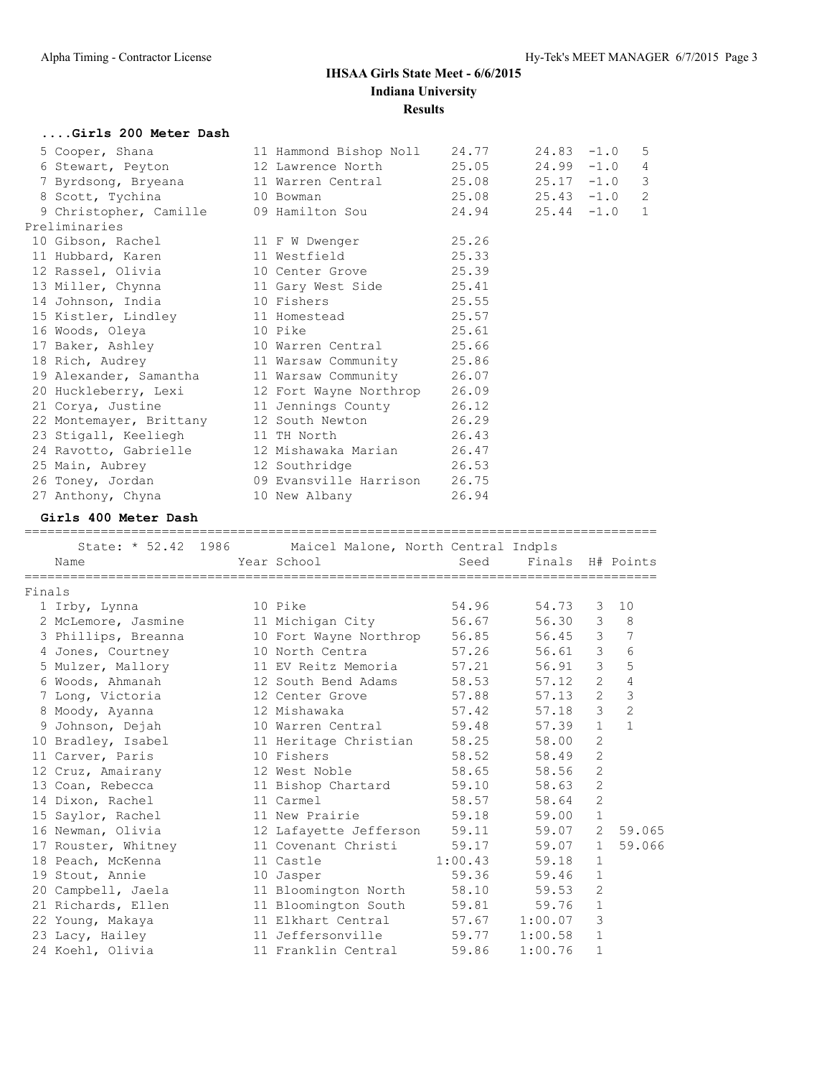|        | Girls 200 Meter Dash                                    |                        |         |                  |                |                 |
|--------|---------------------------------------------------------|------------------------|---------|------------------|----------------|-----------------|
|        | 5 Cooper, Shana                                         | 11 Hammond Bishop Noll | 24.77   | $24.83 - 1.0$    |                | 5               |
|        | 6 Stewart, Peyton                                       | 12 Lawrence North      | 25.05   | 24.99            | $-1.0$         | 4               |
|        | 7 Byrdsong, Bryeana                                     | 11 Warren Central      | 25.08   | 25.17            | $-1.0$         | 3               |
|        | 8 Scott, Tychina                                        | 10 Bowman              | 25.08   | $25.43 - 1.0$    |                | 2               |
|        | 9 Christopher, Camille                                  | 09 Hamilton Sou        | 24.94   | $25.44 -1.0$     |                | $\mathbf{1}$    |
|        | Preliminaries                                           |                        |         |                  |                |                 |
|        | 10 Gibson, Rachel                                       | 11 F W Dwenger         | 25.26   |                  |                |                 |
|        | 11 Hubbard, Karen                                       | 11 Westfield           | 25.33   |                  |                |                 |
|        | 12 Rassel, Olivia                                       | 10 Center Grove        | 25.39   |                  |                |                 |
|        | 13 Miller, Chynna                                       | 11 Gary West Side      | 25.41   |                  |                |                 |
|        | 14 Johnson, India                                       | 10 Fishers             | 25.55   |                  |                |                 |
|        | 15 Kistler, Lindley                                     | 11 Homestead           | 25.57   |                  |                |                 |
|        | 16 Woods, Oleya                                         | 10 Pike                | 25.61   |                  |                |                 |
|        | 17 Baker, Ashley                                        | 10 Warren Central      | 25.66   |                  |                |                 |
|        | 18 Rich, Audrey                                         | 11 Warsaw Community    | 25.86   |                  |                |                 |
|        | 19 Alexander, Samantha                                  | 11 Warsaw Community    | 26.07   |                  |                |                 |
|        | 20 Huckleberry, Lexi                                    | 12 Fort Wayne Northrop | 26.09   |                  |                |                 |
|        | 21 Corya, Justine                                       | 11 Jennings County     | 26.12   |                  |                |                 |
|        | 22 Montemayer, Brittany                                 | 12 South Newton        | 26.29   |                  |                |                 |
|        | 23 Stigall, Keeliegh                                    | 11 TH North            | 26.43   |                  |                |                 |
|        | 24 Ravotto, Gabrielle                                   | 12 Mishawaka Marian    | 26.47   |                  |                |                 |
|        | 25 Main, Aubrey                                         | 12 Southridge          | 26.53   |                  |                |                 |
|        | 26 Toney, Jordan                                        | 09 Evansville Harrison | 26.75   |                  |                |                 |
|        | 27 Anthony, Chyna                                       | 10 New Albany          | 26.94   |                  |                |                 |
|        | Girls 400 Meter Dash                                    |                        |         |                  |                |                 |
|        | State: * 52.42 1986 Maicel Malone, North Central Indpls |                        |         |                  |                |                 |
|        | Name                                                    | Year School            | Seed    | Finals H# Points |                |                 |
|        |                                                         |                        |         |                  |                |                 |
| Finals |                                                         |                        |         |                  |                |                 |
|        | 1 Irby, Lynna                                           | 10 Pike                | 54.96   | 54.73            | 3              | 10              |
|        | 2 McLemore, Jasmine                                     | 11 Michigan City       | 56.67   | 56.30            | 3              | 8               |
|        | 3 Phillips, Breanna                                     | 10 Fort Wayne Northrop | 56.85   | 56.45            | 3              | $\overline{7}$  |
|        | 4 Jones, Courtney                                       | 10 North Centra        | 57.26   | 56.61            |                | $3\overline{6}$ |
|        | 5 Mulzer, Mallory                                       | 11 EV Reitz Memoria    | 57.21   | 56.91 3 5        |                |                 |
|        | 6 Woods, Ahmanah                                        | 12 South Bend Adams    | 58.53   | $57.12$ 2 4      |                |                 |
|        | 7 Long, Victoria                                        | 12 Center Grove        | 57.88   | $57.13$ 2 3      |                |                 |
|        | 8 Moody, Ayanna                                         | 12 Mishawaka           | 57.42   | 57.18            | $\mathcal{S}$  | 2               |
|        | 9 Johnson, Dejah                                        | 10 Warren Central      | 59.48   | 57.39            | $\mathbf{1}$   | $\mathbf{1}$    |
|        | 10 Bradley, Isabel                                      | 11 Heritage Christian  | 58.25   | 58.00            | 2              |                 |
|        | 11 Carver, Paris                                        | 10 Fishers             | 58.52   | 58.49            | 2              |                 |
|        | 12 Cruz, Amairany                                       | 12 West Noble          | 58.65   | 58.56            | $\mathbf{2}$   |                 |
|        | 13 Coan, Rebecca                                        | 11 Bishop Chartard     | 59.10   | 58.63            | 2              |                 |
|        | 14 Dixon, Rachel                                        | 11 Carmel              | 58.57   | 58.64            | $\overline{c}$ |                 |
|        | 15 Saylor, Rachel                                       | 11 New Prairie         | 59.18   | 59.00            | $\mathbf 1$    |                 |
|        | 16 Newman, Olivia                                       | 12 Lafayette Jefferson | 59.11   | 59.07            | 2              | 59.065          |
|        | 17 Rouster, Whitney                                     | 11 Covenant Christi    | 59.17   | 59.07            | 1              | 59.066          |
|        | 18 Peach, McKenna                                       | 11 Castle              | 1:00.43 | 59.18            | 1              |                 |
|        | 19 Stout, Annie                                         | 10 Jasper              | 59.36   | 59.46            | $\mathbf{1}$   |                 |
|        | 20 Campbell, Jaela                                      | 11 Bloomington North   | 58.10   | 59.53            | 2              |                 |
|        | 21 Richards, Ellen                                      | 11 Bloomington South   | 59.81   | 59.76            | $\mathbf{1}$   |                 |
|        | 22 Young, Makaya                                        | 11 Elkhart Central     | 57.67   | 1:00.07          | 3              |                 |
|        | 23 Lacy, Hailey                                         | 11 Jeffersonville      | 59.77   | 1:00.58          | $\mathbf{1}$   |                 |
|        | 24 Koehl, Olivia                                        | 11 Franklin Central    | 59.86   | 1:00.76          | $\mathbf{1}$   |                 |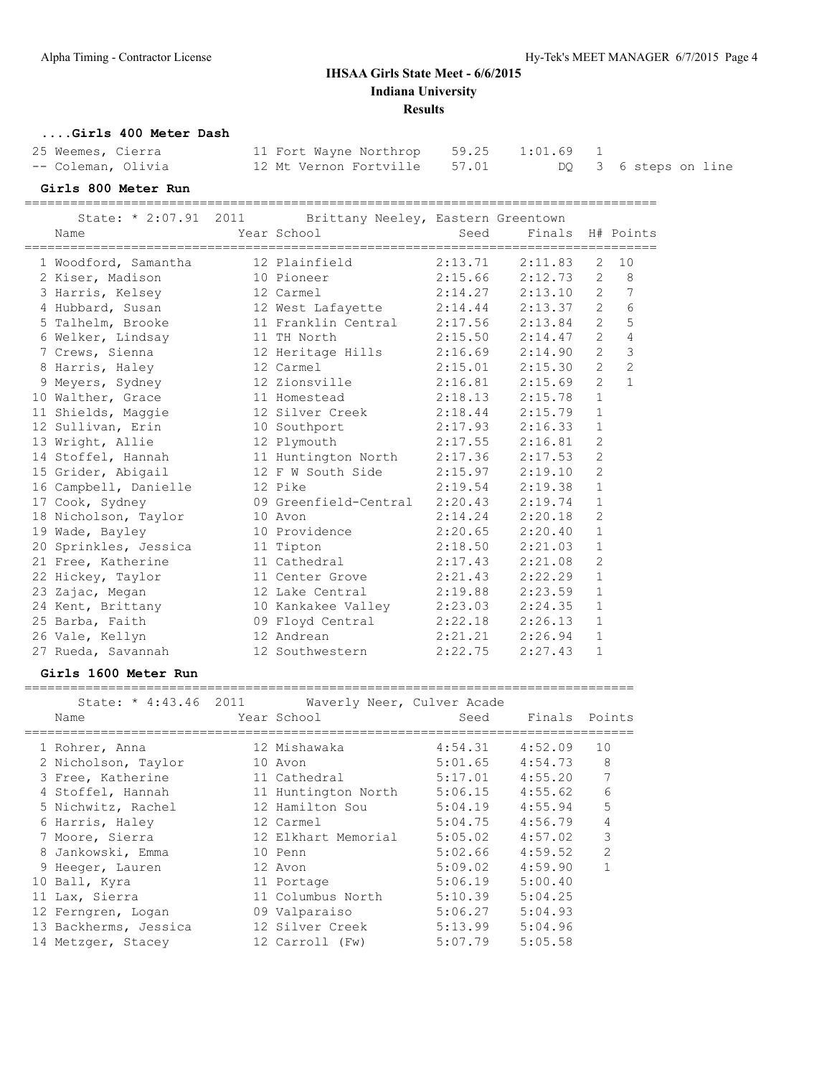#### **....Girls 400 Meter Dash**

| 25 Weemes, Cierra  | 11 Fort Wayne Northrop 59.25 1:01.69 |  |                      |
|--------------------|--------------------------------------|--|----------------------|
| -- Coleman, Olivia | 12 Mt Vernon Fortville 57.01         |  | DQ 3 6 steps on line |

#### **Girls 800 Meter Run**

===================================================================================

| State: * 2:07.91 2011 | Brittany Neeley, Eastern Greentown          |         |                      |                       |                |
|-----------------------|---------------------------------------------|---------|----------------------|-----------------------|----------------|
| Name                  | Year School                                 | Seed    | Finals               |                       | H# Points      |
| 1 Woodford, Samantha  | ==========================<br>12 Plainfield | 2:13.71 | =========<br>2:11.83 | $\mathbf{2}^{\prime}$ | 10             |
| 2 Kiser, Madison      | 10 Pioneer                                  | 2:15.66 | 2:12.73              | $\overline{2}$        | 8              |
| 3 Harris, Kelsey      | 12 Carmel                                   | 2:14.27 | 2:13.10              | $\overline{2}$        | 7              |
|                       | 4 Hubbard, Susan 12 West Lafayette 2:14.44  |         | 2:13.37              | $\overline{2}$        | 6              |
| 5 Talhelm, Brooke     | 11 Franklin Central                         | 2:17.56 | 2:13.84              | $\overline{2}$        | 5              |
| 6 Welker, Lindsay     | 11 TH North                                 |         | $2:15.50$ $2:14.47$  | $\overline{2}$        | $\overline{4}$ |
| 7 Crews, Sienna       | 12 Heritage Hills                           | 2:16.69 | 2:14.90              | $\overline{2}$        | 3              |
| 8 Harris, Haley       | 12 Carmel                                   | 2:15.01 | 2:15.30              | $\overline{2}$        | $\overline{c}$ |
| 9 Meyers, Sydney      | 12 Zionsville                               | 2:16.81 | 2:15.69              | $\overline{2}$        | $\mathbf{1}$   |
| 10 Walther, Grace     | 11 Homestead                                | 2:18.13 | 2:15.78              | $\mathbf{1}$          |                |
| 11 Shields, Maggie    | 12 Silver Creek                             | 2:18.44 | 2:15.79              | $\mathbf{1}$          |                |
| 12 Sullivan, Erin     | 10 Southport                                | 2:17.93 | 2:16.33              | 1                     |                |
| 13 Wright, Allie      | 12 Plymouth                                 | 2:17.55 | 2:16.81              | $\overline{2}$        |                |
| 14 Stoffel, Hannah    | 11 Huntington North 2:17.36                 |         | 2:17.53              | $\overline{c}$        |                |
| 15 Grider, Abigail    | 12 F W South Side                           | 2:15.97 | 2:19.10              | $\overline{2}$        |                |
| 16 Campbell, Danielle | 12 Pike                                     | 2:19.54 | 2:19.38              | $\mathbf{1}$          |                |
| 17 Cook, Sydney       | 09 Greenfield-Central                       | 2:20.43 | 2:19.74              | $\mathbf{1}$          |                |
| 18 Nicholson, Taylor  | 10 Avon                                     | 2:14.24 | 2:20.18              | $\mathbf{2}$          |                |
| 19 Wade, Bayley       | 10 Providence                               | 2:20.65 | 2:20.40              | $\mathbf{1}$          |                |
| 20 Sprinkles, Jessica | 11 Tipton                                   | 2:18.50 | 2:21.03              | $\mathbf 1$           |                |
| 21 Free, Katherine    | 11 Cathedral                                | 2:17.43 | 2:21.08              | $\overline{c}$        |                |
| 22 Hickey, Taylor     | 11 Center Grove                             | 2:21.43 | 2:22.29              | $\mathbf{1}$          |                |
| 23 Zajac, Megan       | 12 Lake Central                             | 2:19.88 | 2:23.59              | $\mathbf{1}$          |                |
| 24 Kent, Brittany     | 10 Kankakee Valley                          | 2:23.03 | 2:24.35              | $\mathbf 1$           |                |
| 25 Barba, Faith       | 09 Floyd Central                            | 2:22.18 | 2:26.13              | $\mathbf{1}$          |                |
| 26 Vale, Kellyn       | 12 Andrean                                  | 2:21.21 | 2:26.94              | $\mathbf{1}$          |                |
| 27 Rueda, Savannah    | 12 Southwestern                             | 2:22.75 | 2:27.43              | $\mathbf{1}$          |                |

#### **Girls 1600 Meter Run**

| State: * 4:43.46 2011<br>Name | Waverly Neer, Culver Acade<br>Year School | Seed    | Finals Points |               |
|-------------------------------|-------------------------------------------|---------|---------------|---------------|
| 1 Rohrer, Anna                | 12 Mishawaka                              | 4:54.31 | 4:52.09       | 10            |
| 2 Nicholson, Taylor           | 10 Avon                                   | 5:01.65 | 4:54.73       | 8             |
| 3 Free, Katherine             | 11 Cathedral                              | 5:17.01 | 4:55.20       | 7             |
| 4 Stoffel, Hannah             | 11 Huntington North                       | 5:06.15 | 4:55.62       | 6             |
| 5 Nichwitz, Rachel            | 12 Hamilton Sou                           | 5:04.19 | 4:55.94       | 5             |
| 6 Harris, Haley               | 12 Carmel                                 | 5:04.75 | 4:56.79       | 4             |
| 7 Moore, Sierra               | 12 Elkhart Memorial                       | 5:05.02 | 4:57.02       | 3             |
| 8 Jankowski, Emma             | 10 Penn                                   | 5:02.66 | 4:59.52       | $\mathcal{P}$ |
| 9 Heeger, Lauren              | 12 Avon                                   | 5:09.02 | 4:59.90       |               |
| 10 Ball, Kyra                 | 11 Portage                                | 5:06.19 | 5:00.40       |               |
| 11 Lax, Sierra                | 11 Columbus North                         | 5:10.39 | 5:04.25       |               |
| 12 Ferngren, Logan            | 09 Valparaiso                             | 5:06.27 | 5:04.93       |               |
| 13 Backherms, Jessica         | 12 Silver Creek                           | 5:13.99 | 5:04.96       |               |
| 14 Metzger, Stacey            | 12 Carroll (Fw)                           | 5:07.79 | 5:05.58       |               |
|                               |                                           |         |               |               |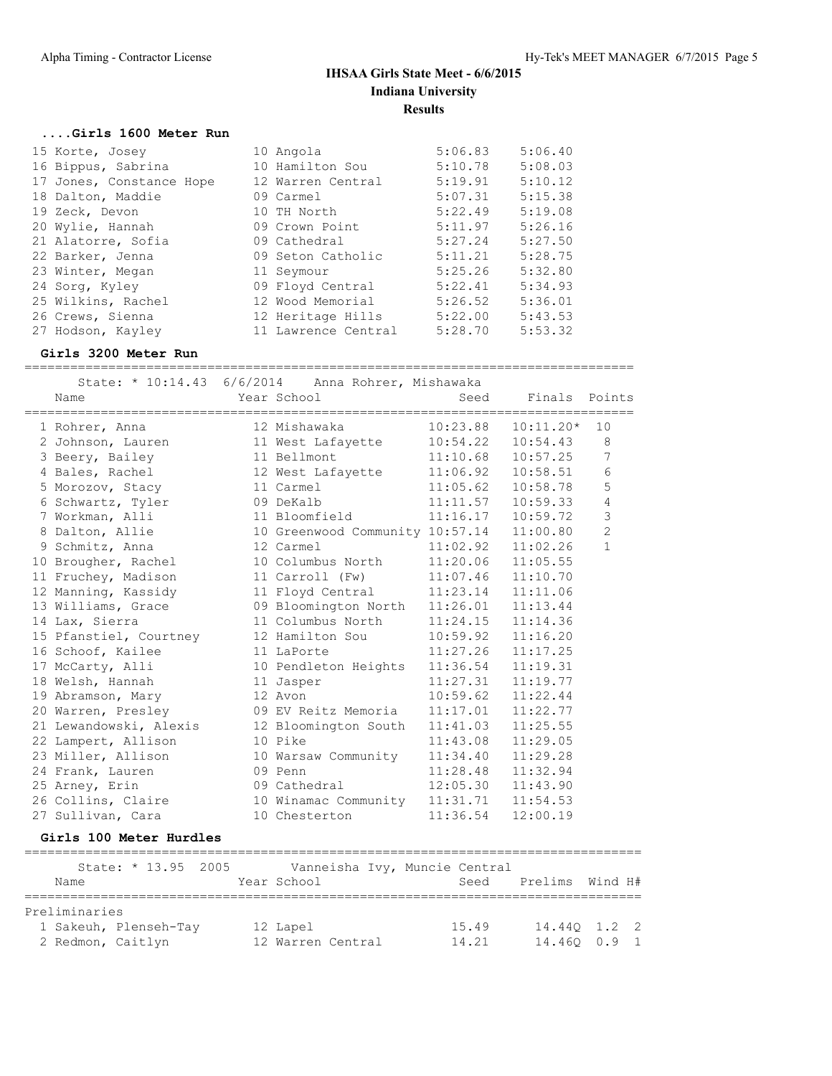================================================================================

# **IHSAA Girls State Meet - 6/6/2015 Indiana University Results**

## **....Girls 1600 Meter Run**

| 15 Korte, Josey          | 10 Angola           | 5:06.83 | 5:06.40 |
|--------------------------|---------------------|---------|---------|
| 16 Bippus, Sabrina       | 10 Hamilton Sou     | 5:10.78 | 5:08.03 |
| 17 Jones, Constance Hope | 12 Warren Central   | 5:19.91 | 5:10.12 |
| 18 Dalton, Maddie        | 09 Carmel           | 5:07.31 | 5:15.38 |
| 19 Zeck, Devon           | 10 TH North         | 5:22.49 | 5:19.08 |
| 20 Wylie, Hannah         | 09 Crown Point      | 5:11.97 | 5:26.16 |
| 21 Alatorre, Sofia       | 09 Cathedral        | 5:27.24 | 5:27.50 |
| 22 Barker, Jenna         | 09 Seton Catholic   | 5:11.21 | 5:28.75 |
| 23 Winter, Megan         | 11 Seymour          | 5:25.26 | 5:32.80 |
| 24 Sorg, Kyley           | 09 Floyd Central    | 5:22.41 | 5:34.93 |
| 25 Wilkins, Rachel       | 12 Wood Memorial    | 5:26.52 | 5:36.01 |
| 26 Crews, Sienna         | 12 Heritage Hills   | 5:22.00 | 5:43.53 |
| 27 Hodson, Kayley        | 11 Lawrence Central | 5:28.70 | 5:53.32 |

#### **Girls 3200 Meter Run**

| State: $* 10:14.43 6/6/2014$<br>Name | Anna Rohrer, Mishawaka<br>Year School | Seed     | Finals Points |                |
|--------------------------------------|---------------------------------------|----------|---------------|----------------|
| 1 Rohrer, Anna                       | 12 Mishawaka                          | 10:23.88 | $10:11.20*$   | 10             |
| 2 Johnson, Lauren                    | 11 West Lafayette                     | 10:54.22 | 10:54.43      | 8              |
| 3 Beery, Bailey                      | 11 Bellmont                           | 11:10.68 | 10:57.25      | $\overline{7}$ |
| 4 Bales, Rachel                      | 12 West Lafayette                     | 11:06.92 | 10:58.51      | 6              |
| 5 Morozov, Stacy                     | 11 Carmel                             | 11:05.62 | 10:58.78      | 5              |
| 6 Schwartz, Tyler                    | 09 DeKalb                             | 11:11.57 | 10:59.33      | $\overline{4}$ |
| 7 Workman, Alli                      | 11 Bloomfield                         | 11:16.17 | 10:59.72      | 3              |
| 8 Dalton, Allie                      | 10 Greenwood Community 10:57.14       |          | 11:00.80      | $\overline{c}$ |
| 9 Schmitz, Anna                      | 12 Carmel                             | 11:02.92 | 11:02.26      | $\mathbf{1}$   |
| 10 Brougher, Rachel                  | 10 Columbus North                     | 11:20.06 | 11:05.55      |                |
| 11 Fruchey, Madison                  | 11 Carroll (Fw)                       | 11:07.46 | 11:10.70      |                |
| 12 Manning, Kassidy                  | 11 Floyd Central                      | 11:23.14 | 11:11.06      |                |
| 13 Williams, Grace                   | 09 Bloomington North                  | 11:26.01 | 11:13.44      |                |
| 14 Lax, Sierra                       | 11 Columbus North                     | 11:24.15 | 11:14.36      |                |
| 15 Pfanstiel, Courtney               | 12 Hamilton Sou                       | 10:59.92 | 11:16.20      |                |
| 16 Schoof, Kailee                    | 11 LaPorte                            | 11:27.26 | 11:17.25      |                |
| 17 McCarty, Alli                     | 10 Pendleton Heights                  | 11:36.54 | 11:19.31      |                |
| 18 Welsh, Hannah                     | 11 Jasper                             | 11:27.31 | 11:19.77      |                |
| 19 Abramson, Mary                    | 12 Avon                               | 10:59.62 | 11:22.44      |                |
| 20 Warren, Presley                   | 09 EV Reitz Memoria                   | 11:17.01 | 11:22.77      |                |
| 21 Lewandowski, Alexis               | 12 Bloomington South                  | 11:41.03 | 11:25.55      |                |
| 22 Lampert, Allison                  | 10 Pike                               | 11:43.08 | 11:29.05      |                |
| 23 Miller, Allison                   | 10 Warsaw Community                   | 11:34.40 | 11:29.28      |                |
| 24 Frank, Lauren                     | 09 Penn                               | 11:28.48 | 11:32.94      |                |
| 25 Arney, Erin                       | 09 Cathedral                          | 12:05.30 | 11:43.90      |                |
| 26 Collins, Claire                   | 10 Winamac Community 11:31.71         |          | 11:54.53      |                |
| 27 Sullivan, Cara                    | 10 Chesterton                         | 11:36.54 | 12:00.19      |                |

#### **Girls 100 Meter Hurdles**

|      |                   | State: * 13.95 2005   |  |  |                   |  |  |  | Vanneisha Ivy, Muncie Central |                 |  |  |
|------|-------------------|-----------------------|--|--|-------------------|--|--|--|-------------------------------|-----------------|--|--|
| Name |                   |                       |  |  | Year School       |  |  |  | Seed                          | Prelims Wind H# |  |  |
|      |                   |                       |  |  |                   |  |  |  |                               |                 |  |  |
|      | Preliminaries     |                       |  |  |                   |  |  |  |                               |                 |  |  |
|      |                   | 1 Sakeuh, Plenseh-Tay |  |  | 12 Lapel          |  |  |  | 15.49                         | 14.440 1.2 2    |  |  |
|      | 2 Redmon, Caitlyn |                       |  |  | 12 Warren Central |  |  |  | 14.21                         | 14.460 0.9 1    |  |  |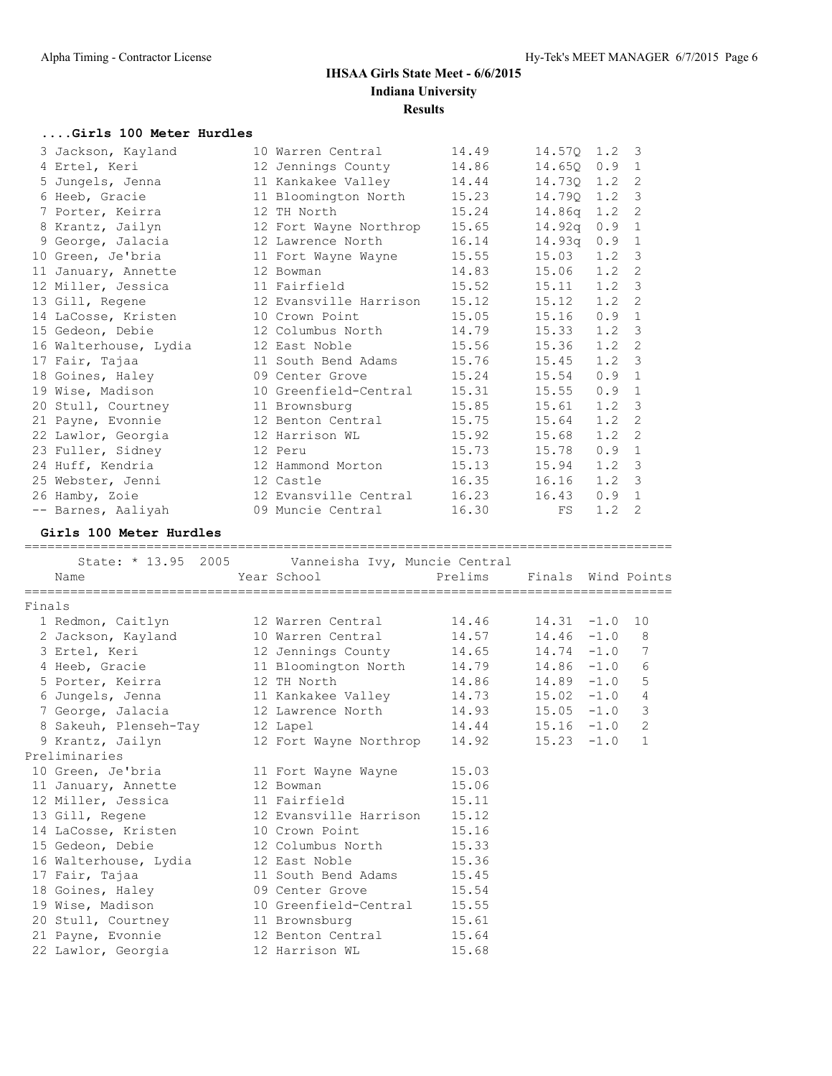#### **....Girls 100 Meter Hurdles**

|        | 3 Jackson, Kayland                                | 10 Warren Central                   | 14.49                      | 14.57Q | 1.2    | $\overline{\mathbf{3}}$    |
|--------|---------------------------------------------------|-------------------------------------|----------------------------|--------|--------|----------------------------|
|        | 4 Ertel, Keri                                     | 12 Jennings County                  | 14.86                      | 14.65Q | 0.9    | $\overline{1}$             |
|        | 5 Jungels, Jenna                                  | 11 Kankakee Valley                  | 14.44                      | 14.730 | 1.2    | $\overline{\phantom{0}}^2$ |
|        | 6 Heeb, Gracie                                    | 11 Bloomington North                | 15.23                      | 14.79Q | 1.2    | $\overline{\mathbf{3}}$    |
|        | 7 Porter, Keirra                                  | 12 TH North                         | 15.24                      | 14.86q | 1.2    | $\overline{2}$             |
|        | 8 Krantz, Jailyn                                  | 12 Fort Wayne Northrop              | 15.65                      | 14.92q | 0.9    | $\overline{1}$             |
|        | 9 George, Jalacia                                 | 12 Lawrence North                   | 16.14                      | 14.93q | 0.9    | $\overline{1}$             |
|        | 10 Green, Je'bria                                 | 11 Fort Wayne Wayne                 | 15.55                      | 15.03  | 1.2    | $\overline{\mathbf{3}}$    |
|        | 11 January, Annette                               | 12 Bowman                           | 14.83                      | 15.06  | 1.2    | $\overline{\phantom{0}}^2$ |
|        | 12 Miller, Jessica                                | 11 Fairfield                        | 15.52                      | 15.11  | 1.2    | $\overline{\mathbf{3}}$    |
|        | 13 Gill, Regene                                   | 12 Evansville Harrison              | 15.12                      | 15.12  | 1.2    | $\overline{2}$             |
|        | 14 LaCosse, Kristen                               | 10 Crown Point                      | 15.05                      | 15.16  | 0.9    | $\overline{1}$             |
|        | 15 Gedeon, Debie                                  | 12 Columbus North                   | 14.79                      | 15.33  | 1.2    | $\overline{\mathbf{3}}$    |
|        | 16 Walterhouse, Lydia                             | 12 East Noble                       | 15.56                      | 15.36  | 1.2    | $\overline{\phantom{0}}^2$ |
|        | 17 Fair, Tajaa                                    | 11 South Bend Adams                 | 15.76                      | 15.45  | 1.2    | $\overline{\mathbf{3}}$    |
|        | 18 Goines, Haley                                  | 09 Center Grove                     | 15.24                      | 15.54  | 0.9    | $\overline{1}$             |
|        | 19 Wise, Madison                                  | 10 Greenfield-Central               | 15.31                      | 15.55  | 0.9    | $\overline{1}$             |
|        | 20 Stull, Courtney                                | 11 Brownsburg                       | 15.85                      | 15.61  | 1.2    | $\overline{\mathbf{3}}$    |
|        | 21 Payne, Evonnie                                 | 12 Benton Central                   | 15.75                      | 15.64  | 1.2    | $\overline{\phantom{0}}^2$ |
|        | 22 Lawlor, Georgia                                | 12 Harrison WL                      | 15.92                      | 15.68  | 1.2    | $\overline{2}$             |
|        | 23 Fuller, Sidney                                 | 12 Peru                             | 15.73                      | 15.78  | 0.9 1  |                            |
|        | 24 Huff, Kendria                                  | 12 Hammond Morton                   | 15.13                      | 15.94  | 1.2    | $\overline{\mathbf{3}}$    |
|        |                                                   | 12 Castle                           |                            |        | 1.2    | $\overline{\mathbf{3}}$    |
|        | 25 Webster, Jenni                                 |                                     | 16.35                      | 16.16  | 0.9 1  |                            |
|        | 26 Hamby, Zoie                                    | 12 Evansville Central               | 16.23                      | 16.43  |        |                            |
|        | -- Barnes, Aaliyah                                | 09 Muncie Central                   | 16.30                      | FS     | 1.2    | 2                          |
|        |                                                   |                                     |                            |        |        |                            |
|        | Girls 100 Meter Hurdles                           |                                     |                            |        |        |                            |
|        |                                                   |                                     |                            |        |        |                            |
|        | State: * 13.95 2005 Vanneisha Ivy, Muncie Central |                                     |                            |        |        |                            |
|        | Name                                              | Year School                         | Prelims Finals Wind Points |        |        |                            |
|        |                                                   |                                     |                            |        |        |                            |
| Finals |                                                   |                                     |                            |        |        |                            |
|        | 1 Redmon, Caitlyn                                 | 12 Warren Central                   | 14.46                      | 14.31  | $-1.0$ | 10                         |
|        | 2 Jackson, Kayland                                | 10 Warren Central                   | 14.57                      | 14.46  | $-1.0$ | 8                          |
|        | 3 Ertel, Keri                                     | 12 Jennings County                  | 14.65                      | 14.74  | $-1.0$ | 7                          |
|        | 4 Heeb, Gracie                                    | 11 Bloomington North                | 14.79                      | 14.86  | $-1.0$ | 6                          |
|        | 5 Porter, Keirra                                  | 12 TH North                         | 14.86                      | 14.89  | $-1.0$ | 5                          |
|        | 6 Jungels, Jenna                                  | 11 Kankakee Valley                  | 14.73                      | 15.02  | $-1.0$ | 4                          |
|        | 7 George, Jalacia                                 | 12 Lawrence North                   | 14.93                      | 15.05  | $-1.0$ | 3                          |
|        | 8 Sakeuh, Plenseh-Tay                             | 12 Lapel                            | 14.44                      | 15.16  | $-1.0$ | 2                          |
|        | 9 Krantz, Jailyn                                  | 12 Fort Wayne Northrop              | 14.92                      | 15.23  | $-1.0$ | $\mathbf{1}$               |
|        | Preliminaries                                     |                                     |                            |        |        |                            |
|        | 10 Green, Je'bria                                 | 11 Fort Wayne Wayne                 | 15.03                      |        |        |                            |
|        | 11 January, Annette                               | 12 Bowman                           | 15.06                      |        |        |                            |
|        | 12 Miller, Jessica                                | 11 Fairfield                        | 15.11                      |        |        |                            |
|        | 13 Gill, Regene                                   | 12 Evansville Harrison              | 15.12                      |        |        |                            |
|        | 14 LaCosse, Kristen                               | 10 Crown Point                      | 15.16                      |        |        |                            |
|        | 15 Gedeon, Debie                                  | 12 Columbus North                   | 15.33                      |        |        |                            |
|        | 16 Walterhouse, Lydia                             | 12 East Noble                       | 15.36                      |        |        |                            |
|        | 17 Fair, Tajaa                                    | 11 South Bend Adams                 | 15.45                      |        |        |                            |
|        | 18 Goines, Haley                                  | 09 Center Grove                     | 15.54                      |        |        |                            |
|        | 19 Wise, Madison                                  | 10 Greenfield-Central               | 15.55                      |        |        |                            |
|        | 20 Stull, Courtney                                | 11 Brownsburg                       | 15.61                      |        |        |                            |
|        | 21 Payne, Evonnie<br>22 Lawlor, Georgia           | 12 Benton Central<br>12 Harrison WL | 15.64<br>15.68             |        |        |                            |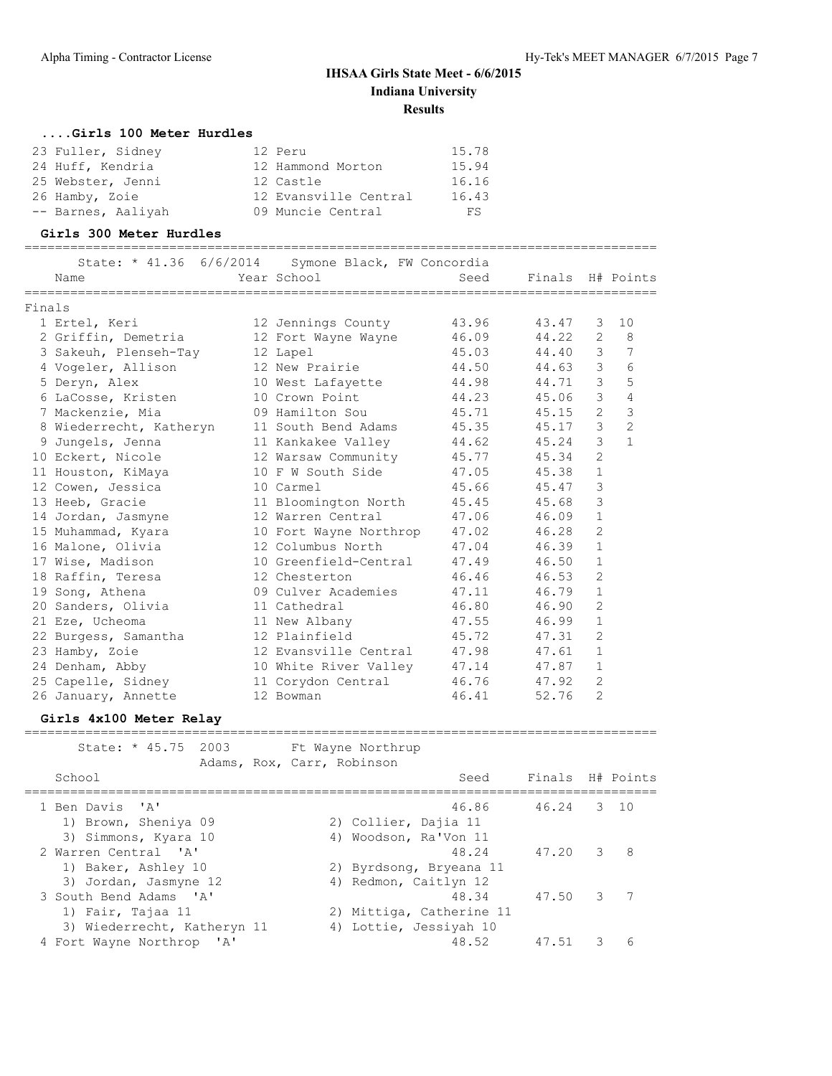#### **....Girls 100 Meter Hurdles**

| 23 Fuller, Sidney  | 12 Peru               | 15.78 |
|--------------------|-----------------------|-------|
| 24 Huff, Kendria   | 12 Hammond Morton     | 15.94 |
| 25 Webster, Jenni  | 12 Castle             | 16.16 |
| 26 Hamby, Zoie     | 12 Evansville Central | 16.43 |
| -- Barnes, Aaliyah | 09 Muncie Central     | FS    |

#### **Girls 300 Meter Hurdles**

===================================================================================

|        | State: * 41.36 6/6/2014<br>Name | Symone Black, FW Concordia<br>Year School | Seed  | Finals H# Points |                |                |
|--------|---------------------------------|-------------------------------------------|-------|------------------|----------------|----------------|
|        |                                 |                                           |       |                  |                |                |
| Finals |                                 |                                           |       |                  |                |                |
|        | 1 Ertel, Keri                   | 12 Jennings County                        | 43.96 | 43.47            | 3              | 10             |
|        | 2 Griffin, Demetria             | 12 Fort Wayne Wayne                       | 46.09 | 44.22            | $\overline{2}$ | 8              |
|        | 3 Sakeuh, Plenseh-Tay           | 12 Lapel                                  | 45.03 | 44.40            | 3              | $\overline{7}$ |
|        | 4 Vogeler, Allison              | 12 New Prairie                            | 44.50 | 44.63            | 3              | 6              |
|        | 5 Deryn, Alex                   | 10 West Lafayette                         | 44.98 | 44.71            | 3              | 5              |
|        | 6 LaCosse, Kristen              | 10 Crown Point                            | 44.23 | 45.06            | 3              | $\overline{4}$ |
|        | 7 Mackenzie, Mia                | 09 Hamilton Sou                           | 45.71 | 45.15            | $\overline{2}$ | 3              |
|        | 8 Wiederrecht, Katheryn         | 11 South Bend Adams                       | 45.35 | 45.17            | 3              | $\overline{c}$ |
|        | 9 Jungels, Jenna                | 11 Kankakee Valley                        | 44.62 | 45.24            | 3              | $\mathbf{1}$   |
|        | 10 Eckert, Nicole               | 12 Warsaw Community                       | 45.77 | 45.34            | $\overline{2}$ |                |
|        | 11 Houston, KiMaya              | 10 F W South Side                         | 47.05 | 45.38            | $\mathbf{1}$   |                |
|        | 12 Cowen, Jessica               | 10 Carmel                                 | 45.66 | 45.47            | $\mathcal{S}$  |                |
|        | 13 Heeb, Gracie                 | 11 Bloomington North                      | 45.45 | 45.68            | 3              |                |
|        | 14 Jordan, Jasmyne              | 12 Warren Central                         | 47.06 | 46.09            | $\mathbf{1}$   |                |
|        | 15 Muhammad, Kyara              | 10 Fort Wayne Northrop                    | 47.02 | 46.28            | $\overline{2}$ |                |
|        | 16 Malone, Olivia               | 12 Columbus North                         | 47.04 | 46.39            | $\mathbf{1}$   |                |
|        | 17 Wise, Madison                | 10 Greenfield-Central                     | 47.49 | 46.50            | $\mathbf{1}$   |                |
|        | 18 Raffin, Teresa               | 12 Chesterton                             | 46.46 | 46.53            | $\overline{2}$ |                |
|        | 19 Song, Athena                 | 09 Culver Academies                       | 47.11 | 46.79            | $\mathbf{1}$   |                |
|        | 20 Sanders, Olivia              | 11 Cathedral                              | 46.80 | 46.90            | 2              |                |
|        | 21 Eze, Ucheoma                 | 11 New Albany                             | 47.55 | 46.99            | $\mathbf{1}$   |                |
|        | 22 Burgess, Samantha            | 12 Plainfield                             | 45.72 | 47.31            | $\overline{2}$ |                |
|        | 23 Hamby, Zoie                  | 12 Evansville Central                     | 47.98 | 47.61            | 1              |                |
|        | 24 Denham, Abby                 | 10 White River Valley                     | 47.14 | 47.87            | $\mathbf 1$    |                |
|        | 25 Capelle, Sidney              | 11 Corydon Central                        | 46.76 | 47.92            | $\overline{2}$ |                |
|        | 26 January, Annette             | 12 Bowman                                 | 46.41 | 52.76            | $\overline{2}$ |                |

#### **Girls 4x100 Meter Relay**

| State: * 45.75 2003 Ft Wayne Northrup<br>Adams, Rox, Carr, Robinson |                                                  |                  |               |   |
|---------------------------------------------------------------------|--------------------------------------------------|------------------|---------------|---|
| School                                                              | Seed                                             | Finals H# Points |               |   |
| 1 Ben Davis 'A'<br>1) Brown, Sheniya 09                             | 46.86<br>2) Collier, Dajia 11                    | 46.24 3 10       |               |   |
| 3) Simmons, Kyara 10<br>2 Warren Central 'A'                        | 4) Woodson, Ra'Von 11<br>48.24                   | 47.20            | $\mathcal{S}$ | 8 |
| 1) Baker, Ashley 10<br>3) Jordan, Jasmyne 12                        | 2) Byrdsong, Bryeana 11<br>4) Redmon, Caitlyn 12 |                  |               |   |
| 3 South Bend Adams 'A'<br>1) Fair, Tajaa 11                         | 48.34<br>2) Mittiga, Catherine 11                | 47.50            | 3             | 7 |
| 3) Wiederrecht, Katheryn 11                                         | 4) Lottie, Jessiyah 10                           |                  |               |   |
| 4 Fort Wayne Northrop<br>$^{\prime}$ A $^{\prime}$                  | 48.52                                            | 47.51            | २             | ี |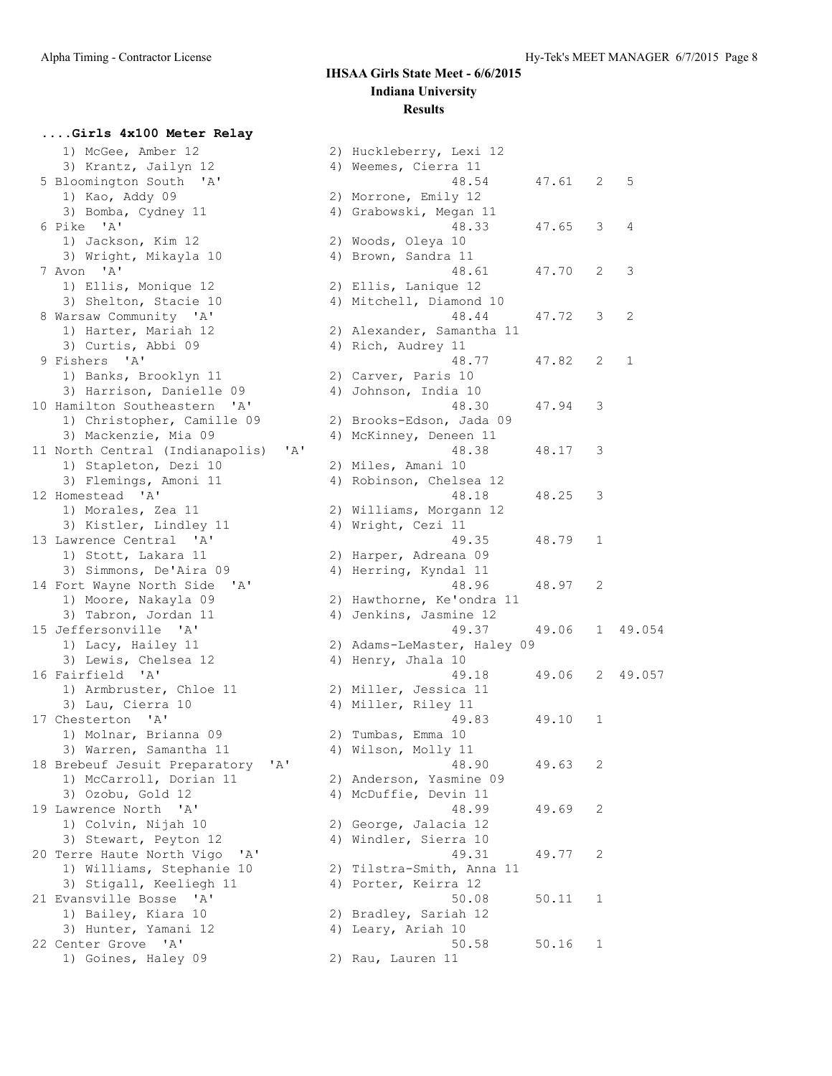## **....Girls 4x100 Meter Relay**

| 1) McGee, Amber 12                             |    | 2) Huckleberry, Lexi 12                         |
|------------------------------------------------|----|-------------------------------------------------|
| 3) Krantz, Jailyn 12                           |    | 4) Weemes, Cierra 11                            |
| 5 Bloomington South 'A'                        |    | 48.54                                           |
| 1) Kao, Addy 09                                |    | 2) Morrone, Emily 12                            |
| 3) Bomba, Cydney 11                            |    | 4) Grabowski, Megan 11                          |
| 6 Pike 'A'                                     |    | 48.33                                           |
| 1) Jackson, Kim 12                             |    | 2) Woods, Oleya 10                              |
| 3) Wright, Mikayla 10                          |    | 4) Brown, Sandra 11                             |
| 7 Avon 'A'                                     |    | 48.61                                           |
|                                                |    |                                                 |
| 1) Ellis, Monique 12<br>3) Shelton, Stacie 10  |    | 2) Ellis, Lanique 12<br>4) Mitchell, Diamond 10 |
| 8 Warsaw Community 'A'                         |    | 48.44                                           |
|                                                |    | 2) Alexander, Samantha 11                       |
| 1) Harter, Mariah 12                           |    |                                                 |
| 3) Curtis, Abbi 09                             |    | 4) Rich, Audrey 11                              |
| 9 Fishers 'A'                                  |    | 48.77                                           |
| 1) Banks, Brooklyn 11                          |    | 2) Carver, Paris 10                             |
| 3) Harrison, Danielle 09                       |    | 4) Johnson, India 10                            |
| 10 Hamilton Southeastern 'A'                   |    | 48.30                                           |
| 1) Christopher, Camille 09                     |    | 2) Brooks-Edson, Jada 09                        |
| 3) Mackenzie, Mia 09                           |    | 4) McKinney, Deneen 11                          |
| 'A'<br>11 North Central (Indianapolis)         |    | 48.38                                           |
| 1) Stapleton, Dezi 10                          |    | 2) Miles, Amani 10                              |
| 3) Flemings, Amoni 11                          |    | 4) Robinson, Chelsea 12                         |
| 12 Homestead 'A'                               |    | 48.18                                           |
| 1) Morales, Zea 11                             |    | 2) Williams, Morgann 12                         |
| 3) Kistler, Lindley 11                         |    | 4) Wright, Cezi 11                              |
| 13 Lawrence Central 'A'                        |    | 49.35                                           |
| 1) Stott, Lakara 11                            |    | 2) Harper, Adreana 09                           |
| 3) Simmons, De'Aira 09                         |    | 4) Herring, Kyndal 11                           |
| 14 Fort Wayne North Side 'A'                   |    | 48.96                                           |
| 1) Moore, Nakayla 09                           |    | 2) Hawthorne, Ke'ondra 11                       |
| 3) Tabron, Jordan 11                           | 4) | Jenkins, Jasmine 12                             |
| 15 Jeffersonville 'A'                          |    | 49.37                                           |
| 1) Lacy, Hailey 11                             |    | 2) Adams-LeMaster, Haley 09                     |
| 3) Lewis, Chelsea 12                           |    | 4) Henry, Jhala 10                              |
| 16 Fairfield 'A'                               |    | 49.18                                           |
| 1) Armbruster, Chloe 11                        |    | 2) Miller, Jessica 11                           |
| 3) Lau, Cierra 10                              |    | 4) Miller, Riley 11                             |
| 17 Chesterton 'A'                              |    | 49.83                                           |
| 1) Molnar, Brianna 09                          |    | 2) Tumbas, Emma 10                              |
| 3) Warren, Samantha 11                         |    | 4) Wilson, Molly 11                             |
| 18 Brebeuf Jesuit Preparatory<br>'A'           |    | 48.90                                           |
| 1) McCarroll, Dorian 11                        |    | 2) Anderson, Yasmine 09                         |
| 3) Ozobu, Gold 12                              |    | 4) McDuffie, Devin 11                           |
| 19 Lawrence North<br>$^{\prime}$ A $^{\prime}$ |    | 48.99                                           |
| 1) Colvin, Nijah 10                            |    | 2) George, Jalacia 12                           |
| 3) Stewart, Peyton 12                          |    | 4) Windler, Sierra 10                           |
| 20 Terre Haute North Vigo<br>' A'              |    | 49.31                                           |
| 1) Williams, Stephanie 10                      |    | 2) Tilstra-Smith, Anna 11                       |
| 3) Stigall, Keeliegh 11                        |    | 4) Porter, Keirra 12                            |
| 21 Evansville Bosse 'A'                        |    | 50.08                                           |
| 1) Bailey, Kiara 10                            |    |                                                 |
|                                                |    | 2) Bradley, Sariah 12                           |
| 3) Hunter, Yamani 12<br>22 Center Grove 'A'    |    | 4) Leary, Ariah 10<br>50.58                     |
|                                                |    |                                                 |
| 1) Goines, Haley 09                            |    | 2) Rau, Lauren 11                               |

| 1) McGee, Amber 12                                |     | 2) Huckleberry, Lexi 12        |       |              |        |
|---------------------------------------------------|-----|--------------------------------|-------|--------------|--------|
|                                                   |     |                                |       |              |        |
| 3) Krantz, Jailyn 12                              |     | 4) Weemes, Cierra 11           |       |              |        |
| 5 Bloomington South 'A'                           |     | 48.54                          | 47.61 | 2            | 5      |
| 1) Kao, Addy 09                                   |     | 2) Morrone, Emily 12           |       |              |        |
| 3) Bomba, Cydney 11                               |     | 4) Grabowski, Megan 11         |       |              |        |
| 6 Pike 'A'                                        |     | 48.33                          | 47.65 | 3            | 4      |
| 1) Jackson, Kim 12                                |     | 2) Woods, Oleya 10             |       |              |        |
| 3) Wright, Mikayla 10                             |     | 4) Brown, Sandra 11            |       |              |        |
| 7 Avon 'A'                                        |     | 48.61                          | 47.70 | 2            | 3      |
| 1) Ellis, Monique 12                              |     | 2) Ellis, Lanique 12           |       |              |        |
| 3) Shelton, Stacie 10                             |     | 4) Mitchell, Diamond 10        |       |              |        |
| 8 Warsaw Community 'A'                            |     | 48.44                          | 47.72 | 3            | 2      |
| 1) Harter, Mariah 12                              |     | 2) Alexander, Samantha 11      |       |              |        |
| 3) Curtis, Abbi 09<br>9 Fishers 'A'               |     | 4) Rich, Audrey 11<br>48.77    | 47.82 | 2            | 1      |
|                                                   |     | 2) Carver, Paris 10            |       |              |        |
| 1) Banks, Brooklyn 11<br>3) Harrison, Danielle 09 |     | 4) Johnson, India 10           |       |              |        |
| 10 Hamilton Southeastern 'A'                      |     | 48.30                          | 47.94 | 3            |        |
| 1) Christopher, Camille 09                        |     | 2) Brooks-Edson, Jada 09       |       |              |        |
| 3) Mackenzie, Mia 09                              |     | 4) McKinney, Deneen 11         |       |              |        |
| 11 North Central (Indianapolis)                   | 'A' | 48.38                          | 48.17 | 3            |        |
| 1) Stapleton, Dezi 10                             |     | 2) Miles, Amani 10             |       |              |        |
| 3) Flemings, Amoni 11                             |     | 4) Robinson, Chelsea 12        |       |              |        |
| 12 Homestead 'A'                                  |     | 48.18                          | 48.25 | 3            |        |
| 1) Morales, Zea 11                                |     | 2) Williams, Morgann 12        |       |              |        |
| 3) Kistler, Lindley 11                            |     | 4) Wright, Cezi 11             |       |              |        |
| 13 Lawrence Central 'A'                           |     | 49.35                          | 48.79 | 1            |        |
| 1) Stott, Lakara 11                               |     | 2) Harper, Adreana 09          |       |              |        |
| 3) Simmons, De'Aira 09                            |     | 4) Herring, Kyndal 11          |       |              |        |
| 14 Fort Wayne North Side                          | A'  | 48.96                          | 48.97 | 2            |        |
| 1) Moore, Nakayla 09                              |     | 2) Hawthorne, Ke'ondra 11      |       |              |        |
| 3) Tabron, Jordan 11                              |     | 4) Jenkins, Jasmine 12         |       |              |        |
| 15 Jeffersonville 'A'                             |     | 49.37                          | 49.06 | $\mathbf{1}$ | 49.054 |
| 1) Lacy, Hailey 11                                |     | 2) Adams-LeMaster, Haley 09    |       |              |        |
| 3) Lewis, Chelsea 12                              |     | 4) Henry, Jhala 10             |       |              |        |
| 16 Fairfield 'A'                                  |     | 49.18                          | 49.06 | 2            | 49.057 |
| 1) Armbruster, Chloe 11                           |     | 2) Miller, Jessica 11          |       |              |        |
| 3) Lau, Cierra 10                                 |     | 4) Miller, Riley 11            |       |              |        |
| 17 Chesterton 'A'                                 |     | 49.83                          | 49.10 | 1            |        |
| 1) Molnar, Brianna 09                             |     | 2) Tumbas, Emma 10             |       |              |        |
| 3) Warren, Samantha 11                            |     | 4) Wilson, Molly 11            |       |              |        |
| 18 Brebeuf Jesuit Preparatory                     | 'A' | 48.90                          | 49.63 | 2            |        |
| 1) McCarroll, Dorian 11                           |     | 2) Anderson, Yasmine 09        |       |              |        |
| 3) Ozobu, Gold 12                                 |     | 4) McDuffie, Devin 11          |       |              |        |
| 19 Lawrence North 'A'                             |     | 48.99                          | 49.69 | 2            |        |
| 1) Colvin, Nijah 10                               |     | 2) George, Jalacia 12          |       |              |        |
| 3) Stewart, Peyton 12                             |     | 4) Windler, Sierra 10          |       |              |        |
| 20 Terre Haute North Vigo                         | 'A' | 49.31                          | 49.77 | 2            |        |
| 1) Williams, Stephanie 10                         |     | 2) Tilstra-Smith, Anna 11      |       |              |        |
| 3) Stigall, Keeliegh 11                           |     | 4) Porter, Keirra 12           |       |              |        |
| 21 Evansville Bosse<br>$^{\prime}$ A $^{\prime}$  |     | 50.08                          | 50.11 | 1            |        |
| 1) Bailey, Kiara 10                               |     | 2) Bradley, Sariah 12          |       |              |        |
| 3) Hunter, Yamani 12<br>22 Center Grove 'A'       |     | 4) Leary, Ariah 10             |       |              |        |
| 1) Coines Haley 09                                |     | 50.58<br>$21$ Rau<br>Lauron 11 | 50.16 | 1            |        |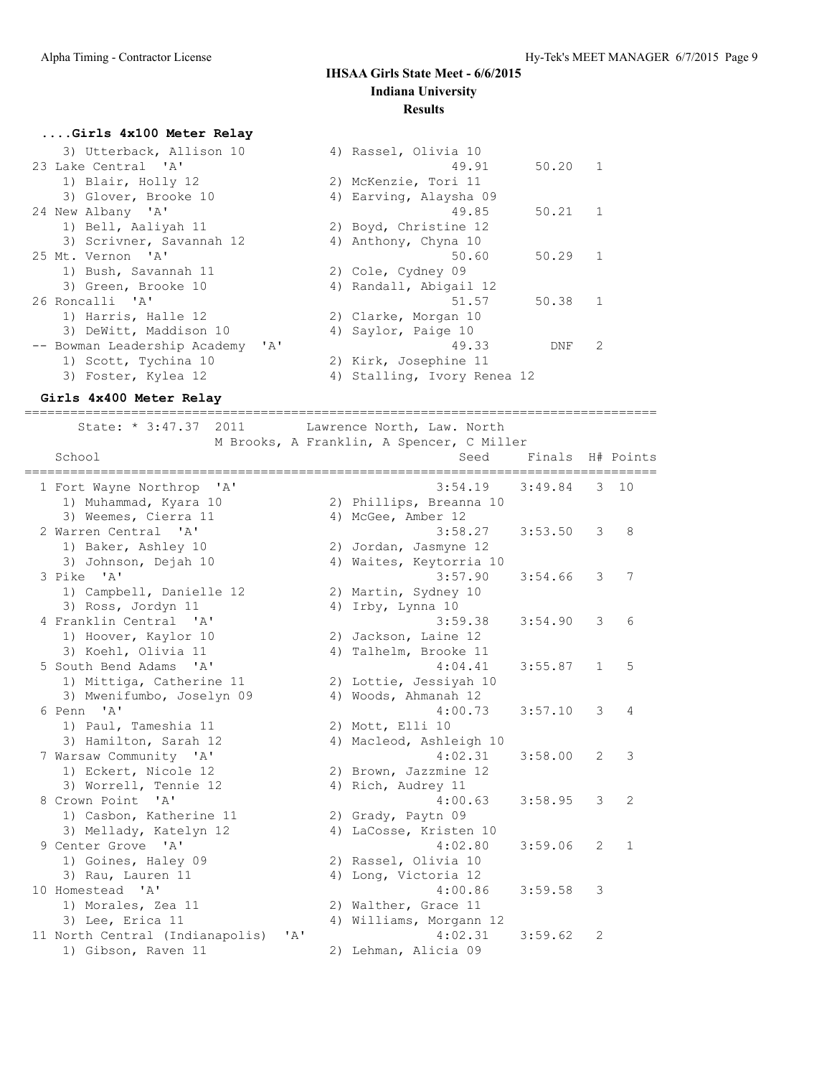#### **....Girls 4x100 Meter Relay**

| 3) Utterback, Allison 10         | 4) Rassel, Olivia 10        |               |
|----------------------------------|-----------------------------|---------------|
| 23 Lake Central 'A'              | 49.91<br>50.20              | $\mathbf{1}$  |
| 1) Blair, Holly 12               | 2) McKenzie, Tori 11        |               |
| 3) Glover, Brooke 10             | 4) Earving, Alaysha 09      |               |
| 24 New Albany 'A'                | $50.21$ 1<br>49.85          |               |
| 1) Bell, Aaliyah 11              | 2) Boyd, Christine 12       |               |
| 3) Scrivner, Savannah 12         | 4) Anthony, Chyna 10        |               |
| 25 Mt. Vernon 'A'                | 50.60<br>50.29              | $\mathbf{1}$  |
| 1) Bush, Savannah 11             | 2) Cole, Cydney 09          |               |
| 3) Green, Brooke 10              | 4) Randall, Abigail 12      |               |
| 26 Roncalli 'A'                  | 51.57<br>50.38              | $\mathbf{1}$  |
| 1) Harris, Halle 12              | 2) Clarke, Morgan 10        |               |
| 3) DeWitt, Maddison 10           | 4) Saylor, Paige 10         |               |
| -- Bowman Leadership Academy 'A' | 49.33<br>DNF                | $\mathcal{L}$ |
| 1) Scott, Tychina 10             | 2) Kirk, Josephine 11       |               |
| 3) Foster, Kylea 12              | 4) Stalling, Ivory Renea 12 |               |
|                                  |                             |               |

#### **Girls 4x400 Meter Relay**

=================================================================================== State: \* 3:47.37 2011 Lawrence North, Law. North

M Brooks, A Franklin, A Spencer, C Miller<br>School Seed F

| School<br>============================  | Seed                    | Finals  |                       | H# Points      |
|-----------------------------------------|-------------------------|---------|-----------------------|----------------|
| 1 Fort Wayne Northrop 'A'               | 3:54.19                 | 3:49.84 | 3                     | 10             |
| 1) Muhammad, Kyara 10                   | 2) Phillips, Breanna 10 |         |                       |                |
| 3) Weemes, Cierra 11                    | 4) McGee, Amber 12      |         |                       |                |
| 2 Warren Central 'A'                    | 3:58.27                 | 3:53.50 | 3                     | 8              |
| 1) Baker, Ashley 10                     | 2) Jordan, Jasmyne 12   |         |                       |                |
| 3) Johnson, Dejah 10                    | 4) Waites, Keytorria 10 |         |                       |                |
| 3 Pike 'A'                              | 3:57.90                 | 3:54.66 | 3                     | 7              |
| 1) Campbell, Danielle 12                | 2) Martin, Sydney 10    |         |                       |                |
| 3) Ross, Jordyn 11                      | 4) Irby, Lynna 10       |         |                       |                |
| 4 Franklin Central 'A'                  | 3:59.38                 | 3:54.90 | 3                     | 6              |
| 1) Hoover, Kaylor 10                    | 2) Jackson, Laine 12    |         |                       |                |
| 3) Koehl, Olivia 11                     | 4) Talhelm, Brooke 11   |         |                       |                |
| 5 South Bend Adams 'A'                  | 4:04.41                 | 3:55.87 | $\mathbf{1}$          | 5              |
| 1) Mittiga, Catherine 11                | 2) Lottie, Jessiyah 10  |         |                       |                |
| 3) Mwenifumbo, Joselyn 09               | 4) Woods, Ahmanah 12    |         |                       |                |
| 6 Penn 'A'                              | 4:00.73                 | 3:57.10 | 3                     | 4              |
| 1) Paul, Tameshia 11                    | 2) Mott, Elli 10        |         |                       |                |
| 3) Hamilton, Sarah 12                   | 4) Macleod, Ashleigh 10 |         |                       |                |
| 7 Warsaw Community 'A'                  | 4:02.31                 | 3:58.00 | 2                     | 3              |
| 1) Eckert, Nicole 12                    | 2) Brown, Jazzmine 12   |         |                       |                |
| 3) Worrell, Tennie 12                   | 4) Rich, Audrey 11      |         |                       |                |
| 8 Crown Point 'A'                       | 4:00.63                 | 3:58.95 | 3                     | $\overline{2}$ |
| 1) Casbon, Katherine 11                 | 2) Grady, Paytn 09      |         |                       |                |
| 3) Mellady, Katelyn 12                  | 4) LaCosse, Kristen 10  |         |                       |                |
| 9 Center Grove 'A'                      | 4:02.80                 | 3:59.06 | $\mathbf{2}^{\prime}$ | $\mathbf{1}$   |
| 1) Goines, Haley 09                     | 2) Rassel, Olivia 10    |         |                       |                |
| 3) Rau, Lauren 11                       | 4) Long, Victoria 12    |         |                       |                |
| 10 Homestead 'A'                        | 4:00.86                 | 3:59.58 | 3                     |                |
| 1) Morales, Zea 11                      | 2) Walther, Grace 11    |         |                       |                |
| 3) Lee, Erica 11                        | 4) Williams, Morgann 12 |         |                       |                |
| 11 North Central (Indianapolis)<br>' A' | 4:02.31                 | 3:59.62 | 2                     |                |
| 1) Gibson, Raven 11                     | 2) Lehman, Alicia 09    |         |                       |                |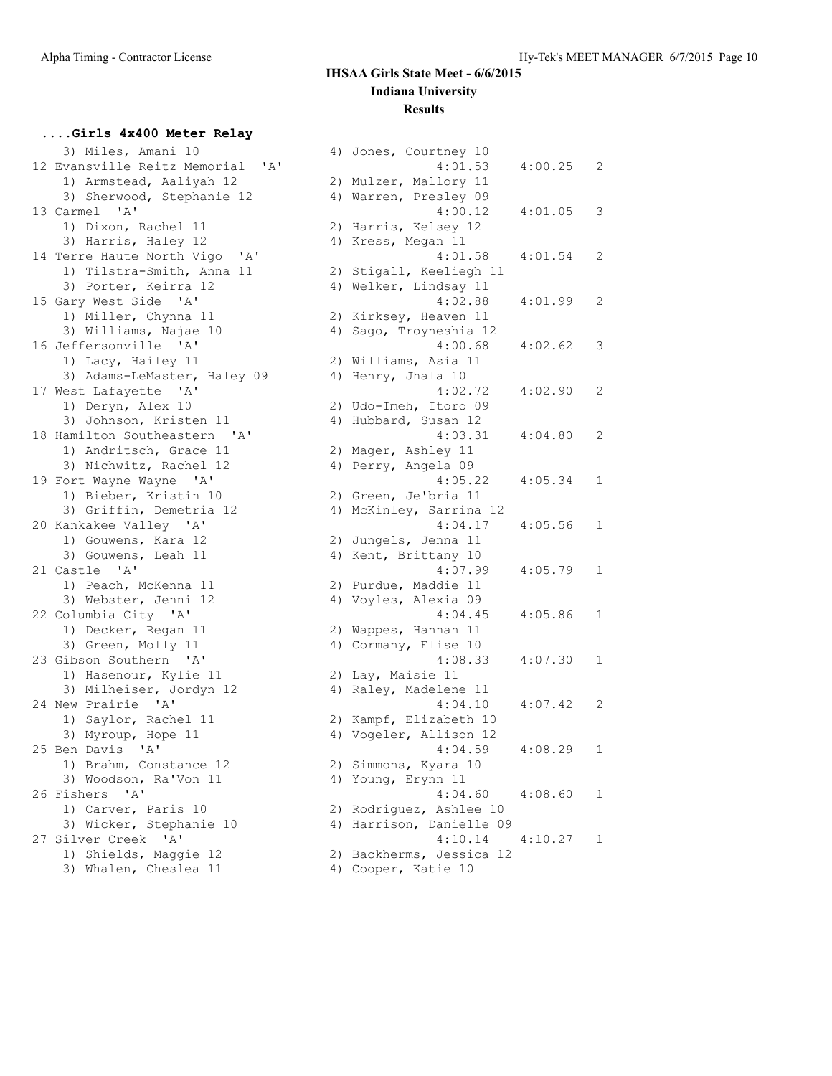## **....Girls 4x400 Meter Relay**

| 3) Miles, Amani 10                           | 4) Jones, Courtney 10    |         |                |
|----------------------------------------------|--------------------------|---------|----------------|
| 12 Evansville Reitz Memorial<br>' A'         | 4:01.53                  | 4:00.25 | $\overline{c}$ |
| 1) Armstead, Aaliyah 12                      | 2) Mulzer, Mallory 11    |         |                |
| 3) Sherwood, Stephanie 12                    | 4) Warren, Presley 09    |         |                |
| $^{\prime}$ A $^{\prime}$<br>13 Carmel       | 4:00.12                  | 4:01.05 | 3              |
| 1) Dixon, Rachel 11                          | 2) Harris, Kelsey 12     |         |                |
| 3) Harris, Haley 12                          | 4) Kress, Megan 11       |         |                |
| 14 Terre Haute North Vigo<br>'A'             | 4:01.58                  | 4:01.54 | 2              |
| 1) Tilstra-Smith, Anna 11                    | 2) Stigall, Keeliegh 11  |         |                |
| 3) Porter, Keirra 12                         | 4) Welker, Lindsay 11    |         |                |
| 15 Gary West Side 'A'                        | 4:02.88                  | 4:01.99 | 2              |
| 1) Miller, Chynna 11                         | 2) Kirksey, Heaven 11    |         |                |
| 3) Williams, Najae 10                        | 4) Sago, Troyneshia 12   |         |                |
| 16 Jeffersonville 'A'                        | 4:00.68                  | 4:02.62 | 3              |
| 1) Lacy, Hailey 11                           | 2) Williams, Asia 11     |         |                |
| 3) Adams-LeMaster, Haley 09                  | 4) Henry, Jhala 10       |         |                |
| 17 West Lafayette 'A'                        | 4:02.72                  | 4:02.90 | $\mathbf{2}$   |
| 1) Deryn, Alex 10                            | 2) Udo-Imeh, Itoro 09    |         |                |
| 3) Johnson, Kristen 11                       | 4) Hubbard, Susan 12     |         |                |
| 18 Hamilton Southeastern 'A'                 | 4:03.31                  | 4:04.80 | $\overline{c}$ |
| 1) Andritsch, Grace 11                       | 2) Mager, Ashley 11      |         |                |
| 3) Nichwitz, Rachel 12                       | 4) Perry, Angela 09      |         |                |
| 19 Fort Wayne Wayne 'A'                      | 4:05.22                  | 4:05.34 | 1              |
| 1) Bieber, Kristin 10                        | 2) Green, Je'bria 11     |         |                |
| 3) Griffin, Demetria 12                      | 4) McKinley, Sarrina 12  |         |                |
| 20 Kankakee Valley 'A'                       | 4:04.17                  | 4:05.56 | 1              |
| 1) Gouwens, Kara 12                          | 2) Jungels, Jenna 11     |         |                |
| 3) Gouwens, Leah 11                          | 4) Kent, Brittany 10     |         |                |
| 21 Castle 'A'                                | 4:07.99                  | 4:05.79 | 1              |
| 1) Peach, McKenna 11                         | 2) Purdue, Maddie 11     |         |                |
| 3) Webster, Jenni 12                         | 4) Voyles, Alexia 09     |         |                |
| 22 Columbia City 'A'                         | 4:04.45                  | 4:05.86 | 1              |
| 1) Decker, Regan 11                          | 2) Wappes, Hannah 11     |         |                |
| 3) Green, Molly 11                           | 4) Cormany, Elise 10     |         |                |
| 23 Gibson Southern 'A'                       | 4:08.33                  | 4:07.30 | 1              |
| 1) Hasenour, Kylie 11                        | 2) Lay, Maisie 11        |         |                |
| 3) Milheiser, Jordyn 12                      | 4) Raley, Madelene 11    |         |                |
| 24 New Prairie 'A'                           | 4:04.10                  | 4:07.42 | 2              |
| 1) Saylor, Rachel 11                         | 2) Kampf, Elizabeth 10   |         |                |
| 3) Myroup, Hope 11                           | 4) Vogeler, Allison 12   |         |                |
| 25 Ben Davis 'A'                             | 4:04.59                  | 4:08.29 | 1              |
| 1) Brahm, Constance 12                       | 2) Simmons, Kyara 10     |         |                |
| 3) Woodson, Ra'Von 11                        | 4) Young, Erynn 11       |         |                |
| 26 Fishers<br>' A'                           | 4:04.60                  | 4:08.60 | 1              |
| 1) Carver, Paris 10                          | 2) Rodriguez, Ashlee 10  |         |                |
| 3) Wicker, Stephanie 10                      | 4) Harrison, Danielle 09 |         |                |
| $^{\prime}$ A $^{\prime}$<br>27 Silver Creek | 4:10.14                  | 4:10.27 | 1              |
| 1) Shields, Maggie 12                        | 2) Backherms, Jessica 12 |         |                |
| 3) Whalen, Cheslea 11                        | 4) Cooper, Katie 10      |         |                |

|    | 4) Jones, Courtney 10<br>4:01.53 | 4:00.25 | 2 |
|----|----------------------------------|---------|---|
| 2) | Mulzer, Mallory 11               |         |   |
| 4) | Warren, Presley 09               |         |   |
|    | 4:00.12                          | 4:01.05 | 3 |
| 2) | Harris, Kelsey 12                |         |   |
| 4) | Kress, Megan 11                  |         |   |
|    | 4:01.58                          | 4:01.54 | 2 |
| 2) | Stigall, Keeliegh 11             |         |   |
| 4) | Welker, Lindsay 11               |         |   |
|    | 4:02.88                          | 4:01.99 | 2 |
| 2) | Kirksey, Heaven 11               |         |   |
| 4) | Sago, Troyneshia 12              |         |   |
|    | 4:00.68                          | 4:02.62 | 3 |
| 2) | Williams, Asia 11                |         |   |
| 4) | Henry, Jhala 10                  |         |   |
|    | 4:02.72                          | 4:02.90 | 2 |
| 2) | Udo-Imeh, Itoro 09               |         |   |
| 4) | Hubbard, Susan 12                |         |   |
|    | 4:03.31                          | 4:04.80 | 2 |
| 2) | Mager, Ashley 11                 |         |   |
| 4) | Perry, Angela 09                 |         |   |
|    | 4:05.22                          | 4:05.34 | 1 |
| 2) | Green, Je'bria 11                |         |   |
| 4) | McKinley, Sarrina 12             |         |   |
|    | 4:04.17                          | 4:05.56 | 1 |
| 2) | Jungels, Jenna 11                |         |   |
| 4) | Kent, Brittany 10                |         |   |
|    | 4:07.99                          | 4:05.79 | 1 |
| 2) | Purdue, Maddie 11                |         |   |
| 4) | Voyles, Alexia 09                |         |   |
|    | 4:04.45                          | 4:05.86 | 1 |
| 2) | Wappes, Hannah 11                |         |   |
| 4) | Cormany, Elise 10                |         |   |
|    | 4:08.33                          | 4:07.30 | 1 |
| 2) | Lay, Maisie 11                   |         |   |
| 4) | Raley, Madelene 11               |         |   |
|    | 4:04.10                          | 4:07.42 | 2 |
| 2) | Kampf, Elizabeth 10              |         |   |
| 4) | Vogeler, Allison 12              |         |   |
|    | 4:04.59                          | 4:08.29 | 1 |
| 2) | Simmons, Kyara 10                |         |   |
| 4) | Young, Erynn 11                  |         |   |
|    | 4:04.60                          | 4:08.60 | 1 |
| 2) | Rodriguez, Ashlee 10             |         |   |
| 4) | Harrison, Danielle 09            |         |   |
|    | 4:10.14                          | 4:10.27 | 1 |
|    | 2) Backherms, Jessica 12         |         |   |
|    | 4) Cooper, Katie 10              |         |   |
|    |                                  |         |   |
|    |                                  |         |   |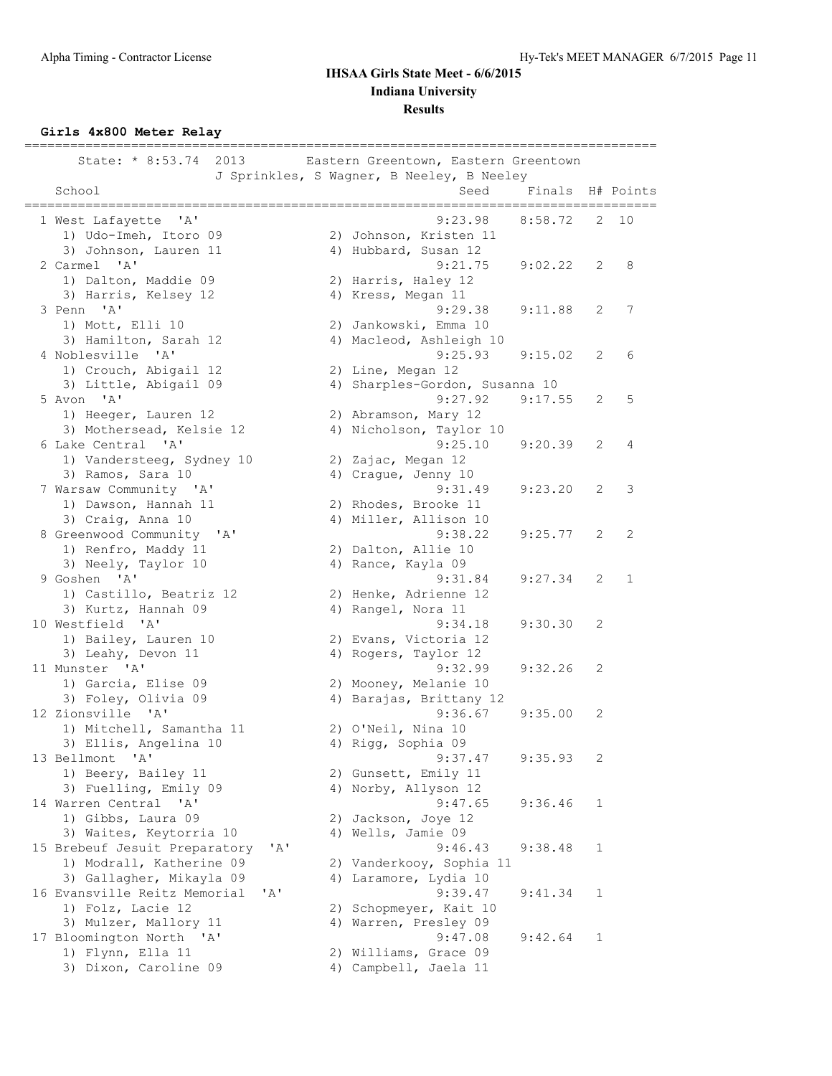**Girls 4x800 Meter Relay**

| State: * 8:53.74 2013                             | Eastern Greentown, Eastern Greentown<br>J Sprinkles, S Wagner, B Neeley, B Neeley |                                             |                       |              |
|---------------------------------------------------|-----------------------------------------------------------------------------------|---------------------------------------------|-----------------------|--------------|
| School<br>===================                     | Seed                                                                              | Finals H# Points<br>_______________________ |                       |              |
| 1 West Lafayette 'A'                              | 9:23.98                                                                           | 8:58.72                                     | 2                     | 10           |
| 1) Udo-Imeh, Itoro 09                             | 2) Johnson, Kristen 11                                                            |                                             |                       |              |
| 3) Johnson, Lauren 11                             | 4) Hubbard, Susan 12                                                              |                                             |                       |              |
| 2 Carmel 'A'                                      | 9:21.75                                                                           | 9:02.22                                     | 2                     | 8            |
| 1) Dalton, Maddie 09                              | 2) Harris, Haley 12                                                               |                                             |                       |              |
| 3) Harris, Kelsey 12                              | 4) Kress, Megan 11                                                                |                                             |                       |              |
| 3 Penn 'A'                                        | 9:29.38                                                                           | 9:11.88                                     | 2                     | 7            |
| 1) Mott, Elli 10                                  | 2) Jankowski, Emma 10                                                             |                                             |                       |              |
| 3) Hamilton, Sarah 12                             | 4) Macleod, Ashleigh 10                                                           |                                             |                       |              |
| 4 Noblesville 'A'                                 | 9:25.93                                                                           | 9:15.02                                     | 2                     | 6            |
| 1) Crouch, Abigail 12                             | 2) Line, Megan 12                                                                 |                                             |                       |              |
| 3) Little, Abigail 09                             | 4) Sharples-Gordon, Susanna 10                                                    |                                             |                       |              |
| 5 Avon 'A'                                        | 9:27.92                                                                           | 9:17.55                                     | 2                     | 5            |
| 1) Heeger, Lauren 12                              | 2) Abramson, Mary 12                                                              |                                             |                       |              |
| 3) Mothersead, Kelsie 12<br>6 Lake Central 'A'    | 4) Nicholson, Taylor 10<br>9:25.10                                                | 9:20.39                                     | 2                     | 4            |
|                                                   |                                                                                   |                                             |                       |              |
| 1) Vandersteeg, Sydney 10<br>3) Ramos, Sara 10    | 2) Zajac, Megan 12<br>4) Craque, Jenny 10                                         |                                             |                       |              |
| 7 Warsaw Community 'A'                            | 9:31.49                                                                           | 9:23.20                                     | $\mathbf{2}^{\prime}$ | 3            |
| 1) Dawson, Hannah 11                              | 2) Rhodes, Brooke 11                                                              |                                             |                       |              |
| 3) Craig, Anna 10                                 | 4) Miller, Allison 10                                                             |                                             |                       |              |
| 8 Greenwood Community 'A'                         | 9:38.22                                                                           | 9:25.77                                     | 2                     | 2            |
| 1) Renfro, Maddy 11                               | 2) Dalton, Allie 10                                                               |                                             |                       |              |
| 3) Neely, Taylor 10                               | 4) Rance, Kayla 09                                                                |                                             |                       |              |
| 9 Goshen 'A'                                      | 9:31.84                                                                           | 9:27.34                                     | 2                     | $\mathbf{1}$ |
| 1) Castillo, Beatriz 12                           | 2) Henke, Adrienne 12                                                             |                                             |                       |              |
| 3) Kurtz, Hannah 09                               | 4) Rangel, Nora 11                                                                |                                             |                       |              |
| 10 Westfield 'A'                                  | 9:34.18                                                                           | 9:30.30                                     | 2                     |              |
| 1) Bailey, Lauren 10                              | 2) Evans, Victoria 12                                                             |                                             |                       |              |
| 3) Leahy, Devon 11                                | 4) Rogers, Taylor 12                                                              |                                             |                       |              |
| 11 Munster 'A'                                    | 9:32.99                                                                           | 9:32.26                                     | 2                     |              |
| 1) Garcia, Elise 09                               | 2) Mooney, Melanie 10                                                             |                                             |                       |              |
| 3) Foley, Olivia 09                               | 4) Barajas, Brittany 12                                                           |                                             |                       |              |
| 12 Zionsville 'A'                                 | 9:36.67                                                                           | 9:35.00                                     | 2                     |              |
| 1) Mitchell, Samantha 11                          | 2) O'Neil, Nina 10                                                                |                                             |                       |              |
| 3) Ellis, Angelina 10                             | 4) Rigg, Sophia 09                                                                |                                             |                       |              |
| 13 Bellmont 'A'                                   | 9:37.47                                                                           | 9:35.93                                     | 2                     |              |
| 1) Beery, Bailey 11                               | 2) Gunsett, Emily 11                                                              |                                             |                       |              |
| 3) Fuelling, Emily 09<br>14 Warren Central<br>'A' | 4) Norby, Allyson 12<br>9:47.65                                                   | 9:36.46                                     | 1                     |              |
| 1) Gibbs, Laura 09                                | 2) Jackson, Joye 12                                                               |                                             |                       |              |
| 3) Waites, Keytorria 10                           | 4) Wells, Jamie 09                                                                |                                             |                       |              |
| 15 Brebeuf Jesuit Preparatory<br>'A'              | 9:46.43                                                                           | 9:38.48                                     | 1                     |              |
| 1) Modrall, Katherine 09                          | 2) Vanderkooy, Sophia 11                                                          |                                             |                       |              |
| 3) Gallagher, Mikayla 09                          | 4) Laramore, Lydia 10                                                             |                                             |                       |              |
| 16 Evansville Reitz Memorial<br>' A'              | 9:39.47                                                                           | 9:41.34                                     | 1                     |              |
| 1) Folz, Lacie 12                                 | 2) Schopmeyer, Kait 10                                                            |                                             |                       |              |
| 3) Mulzer, Mallory 11                             | 4) Warren, Presley 09                                                             |                                             |                       |              |
| 17 Bloomington North 'A'                          | 9:47.08                                                                           | 9:42.64                                     | 1                     |              |
| 1) Flynn, Ella 11                                 | 2) Williams, Grace 09                                                             |                                             |                       |              |
| 3) Dixon, Caroline 09                             | 4) Campbell, Jaela 11                                                             |                                             |                       |              |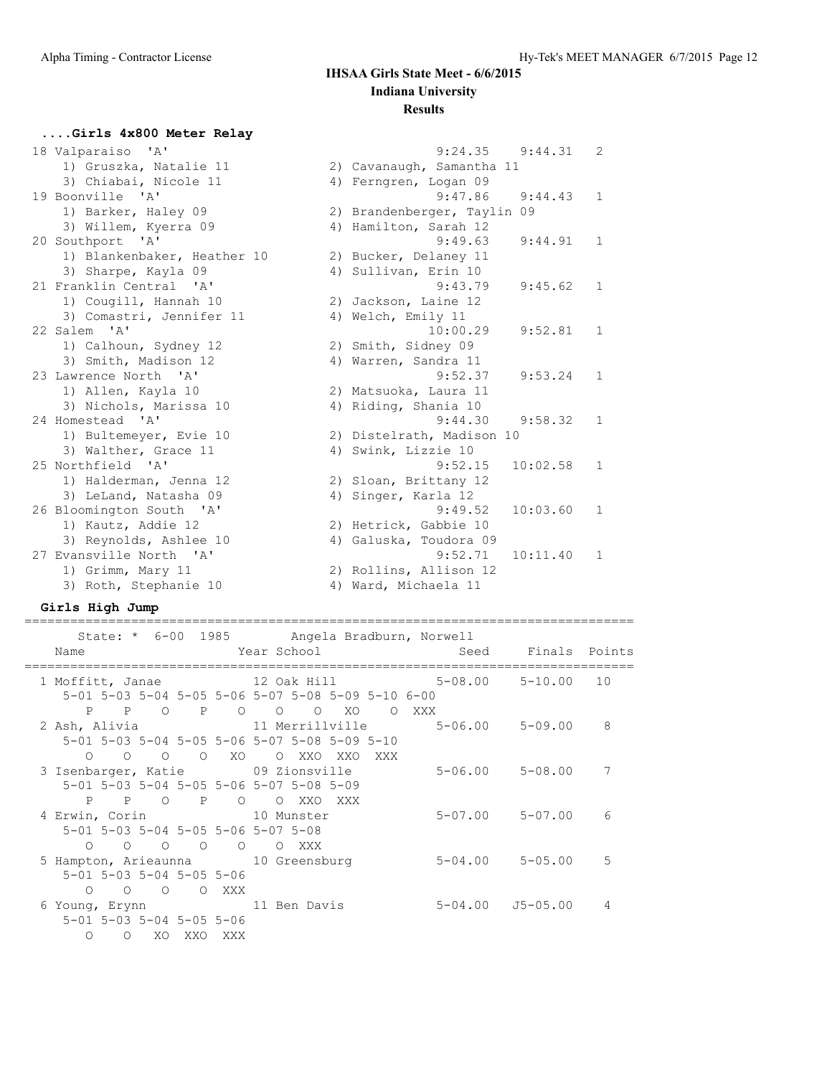## **....Girls 4x800 Meter Relay**

| 18 Valparaiso 'A'           | 9:24.35<br>9:44.31          | 2            |
|-----------------------------|-----------------------------|--------------|
| 1) Gruszka, Natalie 11      | 2) Cavanaugh, Samantha 11   |              |
| 3) Chiabai, Nicole 11       | 4) Ferngren, Logan 09       |              |
| 19 Boonville 'A'            | 9:47.86<br>9:44.43          | $\mathbf{1}$ |
| 1) Barker, Haley 09         | 2) Brandenberger, Taylin 09 |              |
| 3) Willem, Kyerra 09        | 4) Hamilton, Sarah 12       |              |
| 20 Southport 'A'            | 9:49.63<br>9:44.91          | $\mathbf{1}$ |
| 1) Blankenbaker, Heather 10 | 2) Bucker, Delaney 11       |              |
| 3) Sharpe, Kayla 09         | 4) Sullivan, Erin 10        |              |
| 21 Franklin Central 'A'     | 9:43.79<br>9:45.62          | $\mathbf{1}$ |
| 1) Cougill, Hannah 10       | 2) Jackson, Laine 12        |              |
| 3) Comastri, Jennifer 11    | 4) Welch, Emily 11          |              |
| 22 Salem 'A'                | 10:00.29<br>9:52.81         | $\mathbf{1}$ |
| 1) Calhoun, Sydney 12       | 2) Smith, Sidney 09         |              |
| 3) Smith, Madison 12        | 4) Warren, Sandra 11        |              |
| 23 Lawrence North 'A'       | 9:52.37<br>9:53.24          | $\mathbf{1}$ |
| 1) Allen, Kayla 10          | 2) Matsuoka, Laura 11       |              |
| 3) Nichols, Marissa 10      | 4) Riding, Shania 10        |              |
| 24 Homestead 'A'            | 9:44.30<br>9:58.32          | $\mathbf{1}$ |
| 1) Bultemeyer, Evie 10      | 2) Distelrath, Madison 10   |              |
| 3) Walther, Grace 11        | 4) Swink, Lizzie 10         |              |
| 25 Northfield 'A'           | 9:52.15<br>10:02.58         | $\mathbf{1}$ |
| 1) Halderman, Jenna 12      | 2) Sloan, Brittany 12       |              |
| 3) LeLand, Natasha 09       | 4) Singer, Karla 12         |              |
| 26 Bloomington South 'A'    | 10:03.60<br>9:49.52         | 1            |
| 1) Kautz, Addie 12          | 2) Hetrick, Gabbie 10       |              |
| 3) Reynolds, Ashlee 10      | 4) Galuska, Toudora 09      |              |
| 27 Evansville North 'A'     | 9:52.71<br>10:11.40         | 1            |
| 1) Grimm, Mary 11           | 2) Rollins, Allison 12      |              |
| 3) Roth, Stephanie 10       | 4) Ward, Michaela 11        |              |
|                             |                             |              |

### **Girls High Jump**

|                                                                                                                                                                                                                     | State: * 6-00 1985 Angela Bradburn, Norwell                   |       |                         |    |
|---------------------------------------------------------------------------------------------------------------------------------------------------------------------------------------------------------------------|---------------------------------------------------------------|-------|-------------------------|----|
| Name                                                                                                                                                                                                                | Year School and the School and the School and the School      |       | Seed Finals Points      |    |
| 1 Moffitt, Janae 12 Oak Hill 5-08.00 5-10.00<br>$5-01$ $5-03$ $5-04$ $5-05$ $5-06$ $5-07$ $5-08$ $5-09$ $5-10$ $6-00$                                                                                               |                                                               |       |                         | 10 |
| P P O P<br>2 Ash, Alivia                 11 Merrillville           5-06.00     5-09.00     8<br>$5-01$ $5-03$ $5-04$ $5-05$ $5-06$ $5-07$ $5-08$ $5-09$ $5-10$<br>$\begin{matrix} 0 & 0 & 0 & 0 \end{matrix}$<br>XO | $\begin{matrix} 0 & 0 & 0 & X0 \end{matrix}$<br>O XXO XXO XXX | O XXX |                         |    |
| 3 Isenbarger, Katie and 09 Zionsville<br>5-01 5-03 5-04 5-05 5-06 5-07 5-08 5-09<br>P P O<br>$\mathbb{P}$                                                                                                           | $\circ$<br>O XXO XXX                                          |       | $5 - 06.00$ $5 - 08.00$ | 7  |
| 4 Erwin, Corin 10 Munster<br>5-01 5-03 5-04 5-05 5-06 5-07 5-08<br>$\begin{matrix} 0 & 0 & 0 \end{matrix}$<br>$\bigcap$                                                                                             | $\circ$<br>O XXX                                              |       | $5 - 07.00$ $5 - 07.00$ | 6  |
| 5 Hampton, Arieaunna 10 Greensburg<br>$5 - 01$ $5 - 03$ $5 - 04$ $5 - 05$ $5 - 06$<br>O O O XXX<br>$\cap$                                                                                                           |                                                               |       | $5 - 04.00$ $5 - 05.00$ | 5  |
| 6 Young, Erynn 11 Ben Davis<br>$5 - 01$ $5 - 03$ $5 - 04$ $5 - 05$ $5 - 06$<br>$\Omega$<br>XO<br>$\circ$<br>XXO<br>XXX                                                                                              |                                                               |       | 5-04.00 J5-05.00        | 4  |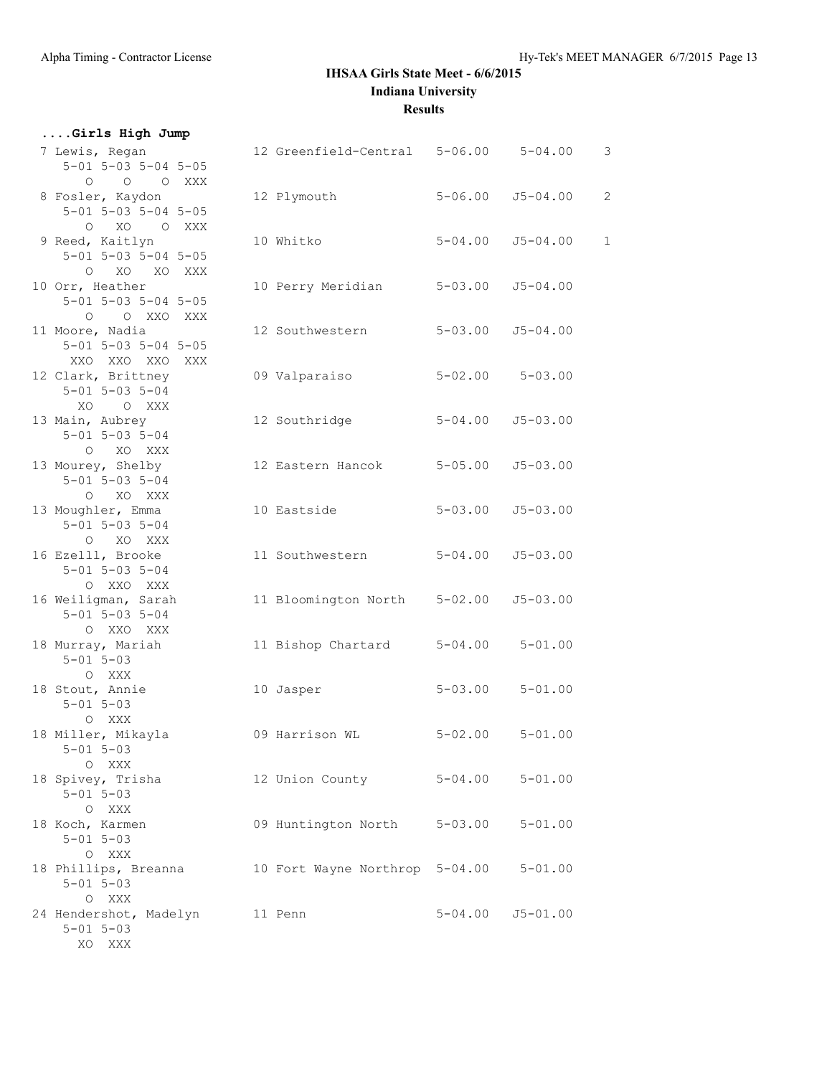| Girls High Jump                                                           |                                        |             |                          |                |
|---------------------------------------------------------------------------|----------------------------------------|-------------|--------------------------|----------------|
| 7 Lewis, Regan<br>$5 - 01$ $5 - 03$ $5 - 04$ $5 - 05$<br>O O O XXX        | 12 Greenfield-Central 5-06.00 5-04.00  |             |                          | 3              |
| 8 Fosler, Kaydon<br>$5 - 01$ $5 - 03$ $5 - 04$ $5 - 05$<br>O XO O XXX     | 12 Plymouth                            | $5 - 06.00$ | $J5 - 04.00$             | $\overline{2}$ |
| 9 Reed, Kaitlyn<br>$5 - 01$ $5 - 03$ $5 - 04$ $5 - 05$<br>O XO XO XXX     | 10 Whitko                              | $5 - 04.00$ | $J5 - 04.00$             | $\mathbf{1}$   |
| 10 Orr, Heather<br>$5 - 01$ $5 - 03$ $5 - 04$ $5 - 05$<br>O O XXO XXX     | 10 Perry Meridian                      | $5 - 03.00$ | $J5 - 04.00$             |                |
| 11 Moore, Nadia<br>$5 - 01$ $5 - 03$ $5 - 04$ $5 - 05$<br>XXO XXO XXO XXX | 12 Southwestern                        |             | $5 - 03.00$ $J5 - 04.00$ |                |
| 12 Clark, Brittney<br>$5 - 01$ $5 - 03$ $5 - 04$<br>XO OXXX               | 09 Valparaiso                          |             | $5 - 02.00$ $5 - 03.00$  |                |
| 13 Main, Aubrey<br>$5 - 01$ $5 - 03$ $5 - 04$<br>O XO XXX                 | 12 Southridge                          | $5 - 04.00$ | $J5 - 03.00$             |                |
| 13 Mourey, Shelby<br>$5 - 01$ $5 - 03$ $5 - 04$<br>O XO XXX               | 12 Eastern Hancok                      | $5 - 05.00$ | $J5 - 03.00$             |                |
| 13 Moughler, Emma<br>$5 - 01$ $5 - 03$ $5 - 04$<br>O XO XXX               | 10 Eastside                            | $5 - 03.00$ | $J5 - 03.00$             |                |
| 16 Ezelll, Brooke<br>$5 - 01$ $5 - 03$ $5 - 04$<br>O XXO XXX              | 11 Southwestern                        | $5 - 04.00$ | $J5 - 03.00$             |                |
| 16 Weiligman, Sarah<br>$5 - 01$ $5 - 03$ $5 - 04$<br>O XXO XXX            | 11 Bloomington North                   | $5 - 02.00$ | $J5 - 03.00$             |                |
| 18 Murray, Mariah<br>$5 - 01$ $5 - 03$<br>O XXX                           | 11 Bishop Chartard                     | $5 - 04.00$ | $5 - 01.00$              |                |
| 18 Stout, Annie<br>$5 - 01$ $5 - 03$<br>O XXX                             | 10 Jasper                              |             | $5 - 03.00$ $5 - 01.00$  |                |
| 18 Miller, Mikayla<br>$5 - 01$ $5 - 03$<br>O XXX                          | 09 Harrison WL                         | $5 - 02.00$ | $5 - 01.00$              |                |
| 18 Spivey, Trisha<br>$5 - 01$ $5 - 03$<br>O XXX                           | 12 Union County 5-04.00 5-01.00        |             |                          |                |
| 18 Koch, Karmen<br>$5 - 01$ $5 - 03$<br>O XXX                             | 09 Huntington North 5-03.00            |             | $5 - 01.00$              |                |
| 18 Phillips, Breanna<br>$5 - 01$ $5 - 03$<br>O XXX                        | 10 Fort Wayne Northrop 5-04.00 5-01.00 |             |                          |                |
| 24 Hendershot, Madelyn 11 Penn<br>$5 - 01$ $5 - 03$<br>XO XXX             |                                        |             | $5 - 04.00$ $J5 - 01.00$ |                |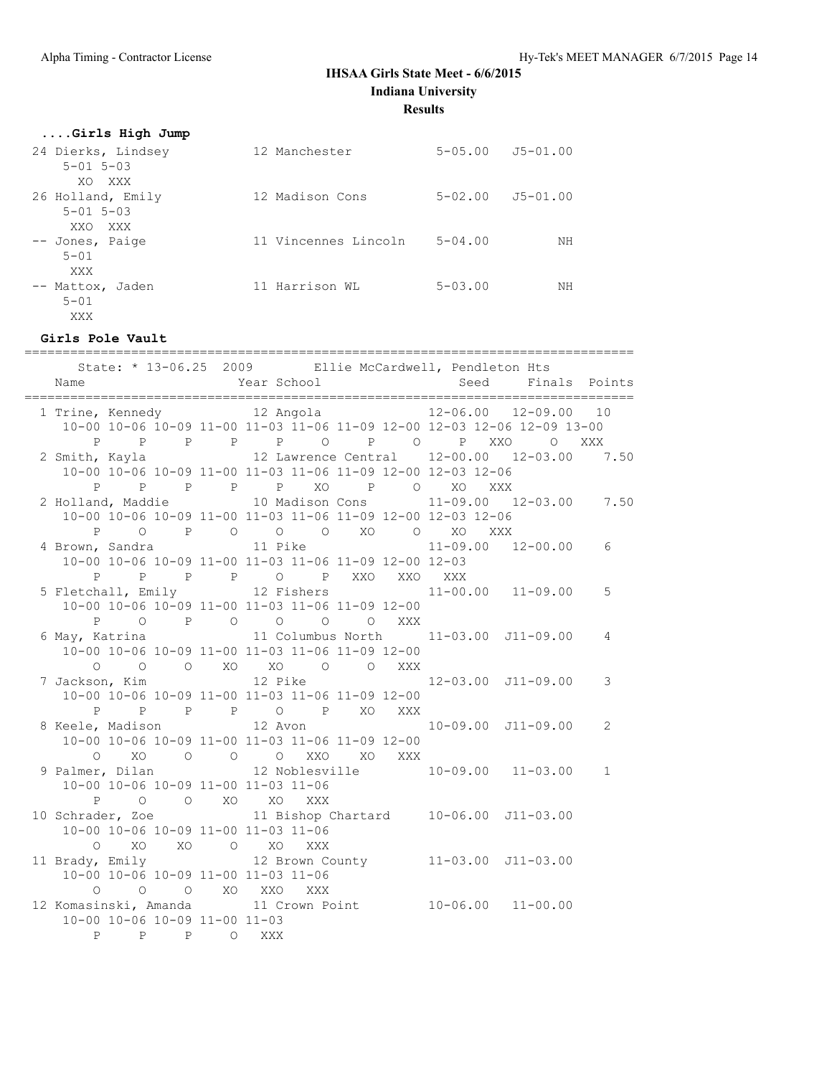**Results**

| Girls High Jump                        |                      |                |                                |
|----------------------------------------|----------------------|----------------|--------------------------------|
| 24 Dierks, Lindsey                     | 12 Manchester        |                | $5 - 0.5$ , 00 $J5 - 0.1$ , 00 |
| $5 - 01$ $5 - 03$                      |                      |                |                                |
| XO XXX                                 |                      |                |                                |
| 26 Holland, Emily<br>$5 - 01$ $5 - 03$ | 12 Madison Cons      | $5 - 02.00$    | J5-01.00                       |
| XXO<br><b>XXX</b>                      |                      |                |                                |
| -- Jones, Paige                        | 11 Vincennes Lincoln | $5 - 04.00$    | NΗ                             |
| $5 - 01$                               |                      |                |                                |
| XXX                                    |                      |                |                                |
| -- Mattox, Jaden                       | 11 Harrison WL       | $5 - 0.3$ , 00 | NΗ                             |
| $5 - 01$                               |                      |                |                                |
| XXX                                    |                      |                |                                |

#### **Girls Pole Vault**

| Name                                                                                                                                                           |             | State: * 13-06.25 2009 Ellie McCardwell, Pendleton Hts<br>Year School |  | Seed Finals Points     |              |
|----------------------------------------------------------------------------------------------------------------------------------------------------------------|-------------|-----------------------------------------------------------------------|--|------------------------|--------------|
| 1 Trine, Kennedy 12 Angola 12 -06.00 12-09.00 10<br>10-00 10-06 10-09 11-00 11-03 11-06 11-09 12-00 12-03 12-06 12-09 13-00                                    |             | P P P P P P O P O P XXO O XXX                                         |  |                        |              |
| 2 Smith, Kayla 			 12 Lawrence Central 			 12-00.00 				 12-03.00 			 7.50<br>10-00 10-06 10-09 11-00 11-03 11-06 11-09 12-00 12-03 12-06<br>P<br>$\mathbb{P}$ |             |                                                                       |  |                        |              |
| 2 Holland, Maddie 10 Madison Cons<br>10-00 10-06 10-09 11-00 11-03 11-06 11-09 12-00 12-03 12-06<br>P                                                          |             | P P P XO P O XO XXX                                                   |  | 11-09.00 12-03.00 7.50 |              |
| 4 Brown, Sandra<br>10-00 10-06 10-09 11-00 11-03 11-06 11-09 12-00 12-03                                                                                       |             | 0 P O O O XO O XO XXX<br>11 Pike<br>P P P P O P XXO XXO XXX           |  | $11-09.00$ $12-00.00$  | 6            |
| 5 Fletchall, Emily 12 Fishers 11-00.00 11-09.00<br>10-00 10-06 10-09 11-00 11-03 11-06 11-09 12-00                                                             |             |                                                                       |  |                        | 5            |
| 6 May, Katrina 11 Columbus North 11-03.00 J11-09.00<br>10-00 10-06 10-09 11-00 11-03 11-06 11-09 12-00                                                         |             | P 0 P 0 0 0 0 XXX                                                     |  |                        | 4            |
| 7 Jackson, Kim                              12 Pike                                  12-03.00 J11-09.00<br>10-00 10-06 10-09 11-00 11-03 11-06 11-09 12-00     |             | 0 0 0 XO XO 0 0 XXX                                                   |  |                        | 3            |
| 8 Keele, Madison 12 Avon 10-09.00 J11-09.00<br>10-00 10-06 10-09 11-00 11-03 11-06 11-09 12-00                                                                 |             | P P P P O P XO XXX                                                    |  |                        | 2            |
| $\circ$<br>XO<br>9 Palmer, Dilan               12 Noblesville         10-09.00   11-03.00<br>10-00 10-06 10-09 11-00 11-03 11-06                               |             | O O O XXO XO XXX                                                      |  |                        | $\mathbf{1}$ |
| $\mathbf{P}$<br>10 Schrader, Zoe 11 Bishop Chartard 10-06.00 J11-03.00<br>10-00 10-06 10-09 11-00 11-03 11-06                                                  |             | O O XO XO XXX                                                         |  |                        |              |
| $\Omega$<br>11 Brady, Emily 12 Brown County 11-03.00 J11-03.00<br>10-00 10-06 10-09 11-00 11-03 11-06                                                          |             | XO XO O XO XXX                                                        |  |                        |              |
| $\Omega$<br>12 Komasinski, Amanda 11 Crown Point 10-06.00 11-00.00<br>10-00 10-06 10-09 11-00 11-03                                                            |             | O O XO XXO XXX                                                        |  |                        |              |
|                                                                                                                                                                | P P P O XXX |                                                                       |  |                        |              |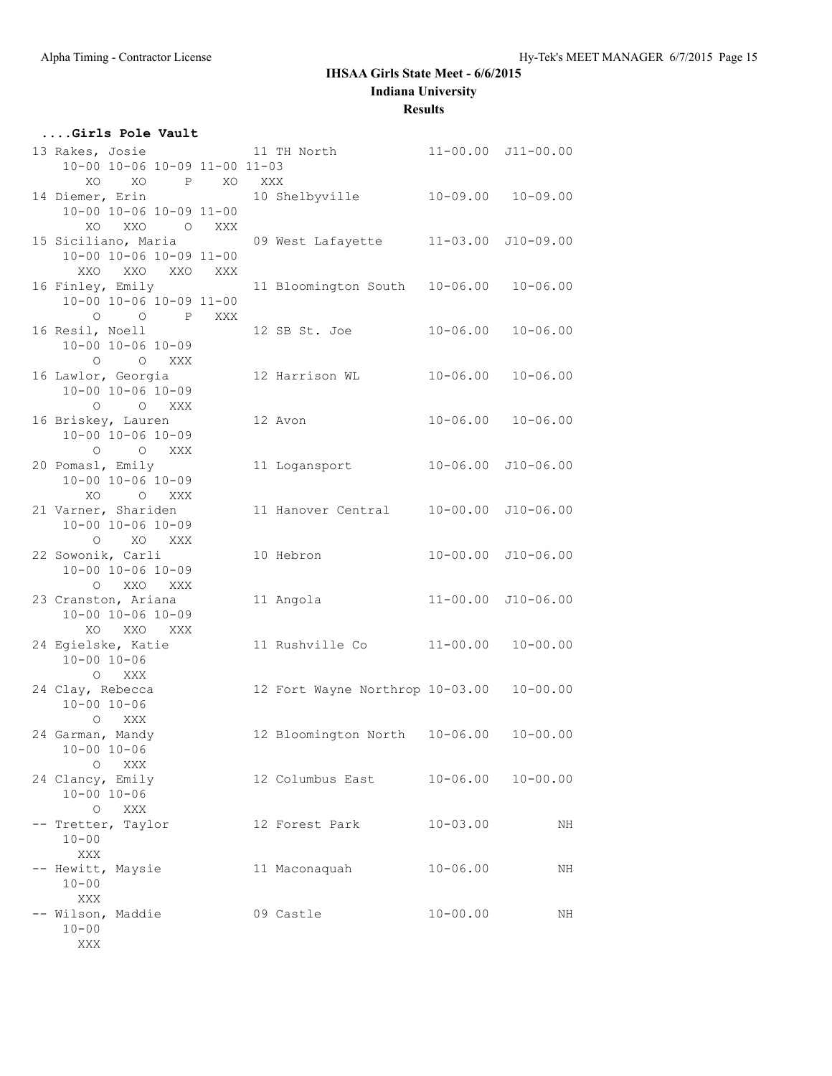#### **Results**

| Girls Pole Vault                                                  |     |                                          |              |                            |
|-------------------------------------------------------------------|-----|------------------------------------------|--------------|----------------------------|
| 13 Rakes, Josie<br>10-00 10-06 10-09 11-00 11-03<br>XO P XO<br>XO | XXX | 11 TH North 11-00.00 J11-00.00           |              |                            |
| 14 Diemer, Erin<br>10-00 10-06 10-09 11-00<br>XO XXO O XXX        |     | 10 Shelbyville 10-09.00 10-09.00         |              |                            |
| 15 Siciliano, Maria<br>10-00 10-06 10-09 11-00<br>XXO XXO XXO XXX |     | 09 West Lafayette 11-03.00 J10-09.00     |              |                            |
| 16 Finley, Emily<br>10-00 10-06 10-09 11-00<br>O O P XXX          |     | 11 Bloomington South                     | $10 - 06.00$ | $10 - 06.00$               |
| 16 Resil, Noell<br>$10 - 00$ $10 - 06$ $10 - 09$<br>O O XXX       |     | 12 SB St. Joe                            | $10 - 06.00$ | $10 - 06.00$               |
| 16 Lawlor, Georgia<br>$10 - 00$ $10 - 06$ $10 - 09$<br>O O XXX    |     |                                          |              |                            |
| 16 Briskey, Lauren<br>10-00 10-06 10-09<br>O O XXX                |     | 12 Avon                                  |              | $10 - 06.00$ $10 - 06.00$  |
| 20 Pomasl, Emily<br>$10 - 00$ $10 - 06$ $10 - 09$<br>XO O XXX     |     | 11 Logansport                            |              | $10 - 06.00$ $J10 - 06.00$ |
| 21 Varner, Shariden<br>$10 - 00$ $10 - 06$ $10 - 09$<br>O XO XXX  |     | 11 Hanover Central 10-00.00 J10-06.00    |              |                            |
| 22 Sowonik, Carli<br>10-00 10-06 10-09<br>O XXO XXX               |     | 10 Hebron                                |              | 10-00.00 J10-06.00         |
| 23 Cranston, Ariana<br>10-00 10-06 10-09<br>XO XXO XXX            |     | 11 Angola                                |              | 11-00.00 J10-06.00         |
| 24 Egielske, Katie<br>$10 - 00$ $10 - 06$<br>O XXX                |     | 11 Rushville Co                          | $11 - 00.00$ | $10 - 00.00$               |
| 24 Clay, Rebecca<br>$10 - 00$ $10 - 06$<br>O XXX                  |     | 12 Fort Wayne Northrop 10-03.00          |              | $10 - 00.00$               |
| 24 Garman, Mandy<br>$10 - 00 10 - 06$<br>O XXX                    |     | 12 Bloomington North  10-06.00  10-00.00 |              |                            |
| 24 Clancy, Emily<br>$10 - 00$ $10 - 06$<br>O XXX                  |     | 12 Columbus East                         | $10 - 06.00$ | $10 - 00.00$               |
| -- Tretter, Taylor<br>$10 - 00$<br>XXX                            |     | 12 Forest Park                           | $10 - 03.00$ | NH                         |
| -- Hewitt, Maysie<br>$10 - 00$<br>XXX                             |     | 11 Maconaquah                            | $10 - 06.00$ | NH                         |
| -- Wilson, Maddie<br>$10 - 00$<br>XXX                             |     | 09 Castle                                | $10 - 00.00$ | NH                         |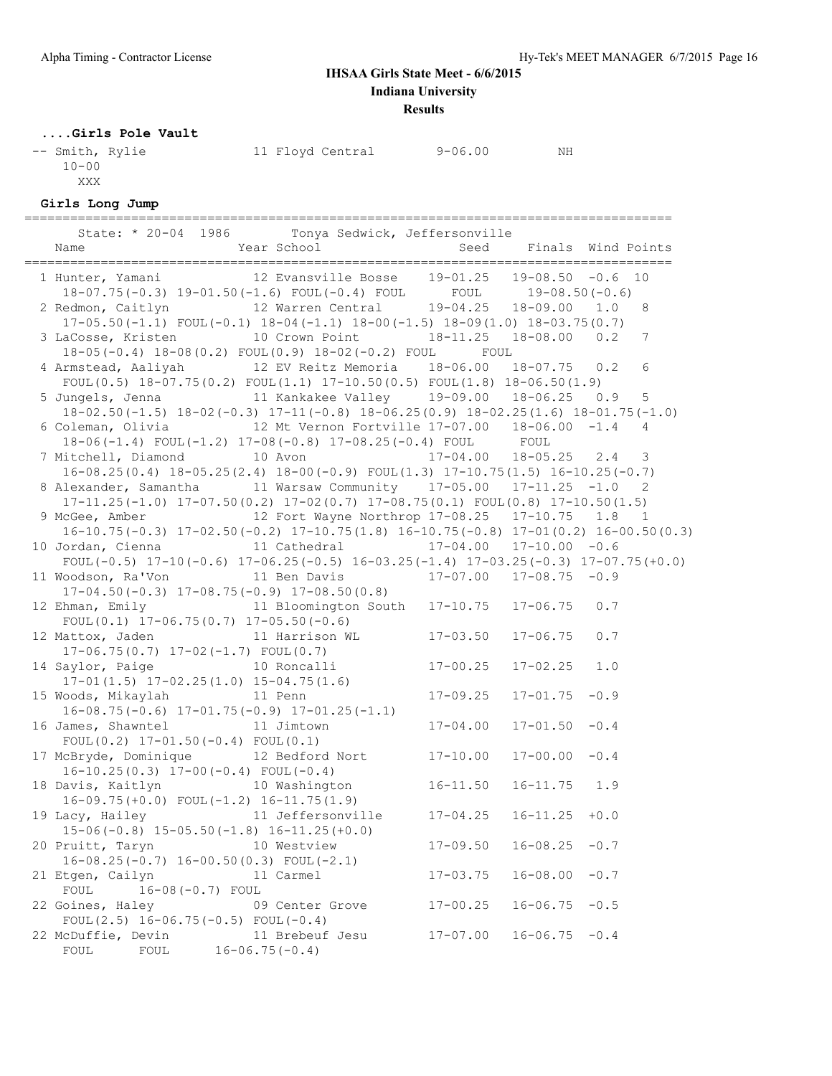**Results**

#### **....Girls Pole Vault**

| -- Smith, Rylie | 11 Floyd Central | $9 - 06.00$ | ΝH |
|-----------------|------------------|-------------|----|
| $10 - 00$       |                  |             |    |
| XXX             |                  |             |    |

#### **Girls Long Jump**

|                                                                                                                                                                                                       | -------------------<br>State: * 20-04 1986 Tonya Sedwick, Jeffersonville |                           |                    |                |
|-------------------------------------------------------------------------------------------------------------------------------------------------------------------------------------------------------|--------------------------------------------------------------------------|---------------------------|--------------------|----------------|
| 1 Hunter, Yamani 12 Evansville Bosse 19-01.25 19-08.50 -0.6 10                                                                                                                                        |                                                                          |                           |                    |                |
| 18-07.75(-0.3) 19-01.50(-1.6) FOUL(-0.4) FOUL<br>2 Redmon, Caitlyn 12 Warren Central 19-04.25 18-09.00 1.0<br>$17-05.50(-1.1)$ FOUL $(-0.1)$ $18-04(-1.1)$ $18-00(-1.5)$ $18-09(1.0)$ $18-03.75(0.7)$ |                                                                          |                           |                    | 8              |
| 3 LaCosse, Kristen 10 Crown Point 18-11.25 18-08.00 0.2<br>18-05 (-0.4) 18-08 (0.2) FOUL (0.9) 18-02 (-0.2) FOUL FOUL                                                                                 |                                                                          |                           |                    | 7              |
| 4 Armstead, Aaliyah 12 EV Reitz Memoria 18-06.00 18-07.75 0.2<br>$FOUL(0.5)$ 18-07.75(0.2) $FOUL(1.1)$ 17-10.50(0.5) $FOUL(1.8)$ 18-06.50(1.9)                                                        |                                                                          |                           |                    | 6              |
| 5 Jungels, Jenna 11 Kankakee Valley 19-09.00 18-06.25 0.9<br>$18-02.50(-1.5)$ $18-02(-0.3)$ $17-11(-0.8)$ $18-06.25(0.9)$ $18-02.25(1.6)$ $18-01.75(-1.0)$                                            |                                                                          |                           |                    | $\overline{5}$ |
| 6 Coleman, Olivia $12$ Mt Vernon Fortville $17-07.00$ $18-06.00$ $-1.4$<br>18-06(-1.4) FOUL(-1.2) 17-08(-0.8) 17-08.25(-0.4) FOUL FOUL                                                                |                                                                          |                           |                    | 4              |
| 7 Mitchell, Diamond 10 Avon 17-04.00 18-05.25 2.4 3<br>$16-08.25(0.4)$ $18-05.25(2.4)$ $18-00(-0.9)$ $FOUL(1.3)$ $17-10.75(1.5)$ $16-10.25(-0.7)$                                                     |                                                                          |                           |                    |                |
| 8 Alexander, Samantha 11 Warsaw Community 17-05.00 17-11.25 -1.0 2<br>$17-11.25(-1.0)$ $17-07.50(0.2)$ $17-02(0.7)$ $17-08.75(0.1)$ FOUL $(0.8)$ $17-10.50(1.5)$                                      |                                                                          |                           |                    |                |
| 9 McGee, Amber 12 Fort Wayne Northrop 17-08.25 17-10.75 1.8 1<br>$16-10.75(-0.3)$ $17-02.50(-0.2)$ $17-10.75(1.8)$ $16-10.75(-0.8)$ $17-01(0.2)$ $16-00.50(0.3)$                                      |                                                                          |                           |                    |                |
| 10 Jordan, Cienna 11 Cathedral 17-04.00 17-10.00 -0.6<br>FOUL $(-0.5)$ 17-10 $(-0.6)$ 17-06.25 $(-0.5)$ 16-03.25 $(-1.4)$ 17-03.25 $(-0.3)$ 17-07.75 $(+0.0)$                                         |                                                                          |                           |                    |                |
| 11 Woodson, Ra'Von 11 Ben Davis 17-07.00 17-08.75 -0.9<br>$17-04.50(-0.3)$ $17-08.75(-0.9)$ $17-08.50(0.8)$                                                                                           |                                                                          |                           |                    |                |
| 12 Ehman, Emily 11 Bloomington South 17-10.75 17-06.75 0.7<br>FOUL $(0.1)$ 17-06.75 $(0.7)$ 17-05.50 $(-0.6)$                                                                                         |                                                                          |                           |                    |                |
| 12 Mattox, Jaden 11 Harrison WL<br>$17-06.75(0.7)$ $17-02(-1.7)$ FOUL $(0.7)$                                                                                                                         |                                                                          | $17 - 03.50$ $17 - 06.75$ |                    | 0.7            |
| 14 Saylor, Paige 10 Roncalli 17-00.25<br>$17-01(1.5)$ $17-02.25(1.0)$ $15-04.75(1.6)$                                                                                                                 |                                                                          |                           | $17 - 02.25$       | 1.0            |
| 15 Woods, Mikaylah<br>$16-08.75(-0.6)$ $17-01.75(-0.9)$ $17-01.25(-1.1)$                                                                                                                              | 11 Penn                                                                  | $17 - 09.25$              | $17 - 01.75 - 0.9$ |                |
| 16 James, Shawntel 11 Jimtown<br>FOUL $(0.2)$ 17-01.50 $(-0.4)$ FOUL $(0.1)$                                                                                                                          |                                                                          | $17 - 04.00$              | $17 - 01.50 - 0.4$ |                |
| 17 McBryde, Dominique 12 Bedford Nort 17-10.00<br>$16-10.25(0.3)$ $17-00(-0.4)$ FOUL $(-0.4)$                                                                                                         |                                                                          |                           | $17 - 00.00 - 0.4$ |                |
| 18 Davis, Kaitlyn 10 Washington 16-11.50<br>$16-09.75(+0.0)$ FOUL $(-1.2)$ $16-11.75(1.9)$                                                                                                            |                                                                          |                           | $16 - 11.75$ 1.9   |                |
| 19 Lacy, Hailey $11$ Jeffersonville $17-04.25$ 16-11.25 +0.0<br>$15-06(-0.8)$ $15-05.50(-1.8)$ $16-11.25(+0.0)$                                                                                       |                                                                          |                           |                    |                |
| 20 Pruitt, Taryn<br>$16-08.25(-0.7)$ $16-00.50(0.3)$ FOUL(-2.1)                                                                                                                                       | 10 Westview                                                              | $17 - 09.50$              | $16 - 08.25$       | $-0.7$         |
| 21 Etgen, Cailyn<br>16-08 (-0.7) FOUL<br>FOUL                                                                                                                                                         | 11 Carmel                                                                | $17 - 03.75$              | $16 - 08.00$       | $-0.7$         |
| 22 Goines, Haley<br>FOUL $(2.5)$ 16-06.75 $(-0.5)$ FOUL $(-0.4)$                                                                                                                                      | 09 Center Grove                                                          | $17 - 00.25$              | $16 - 06.75$       | $-0.5$         |
| 22 McDuffie, Devin<br>${\tt FOUL}$<br>FOUL                                                                                                                                                            | 11 Brebeuf Jesu<br>$16 - 06.75(-0.4)$                                    | $17 - 07.00$              | 16-06.75           | $-0.4$         |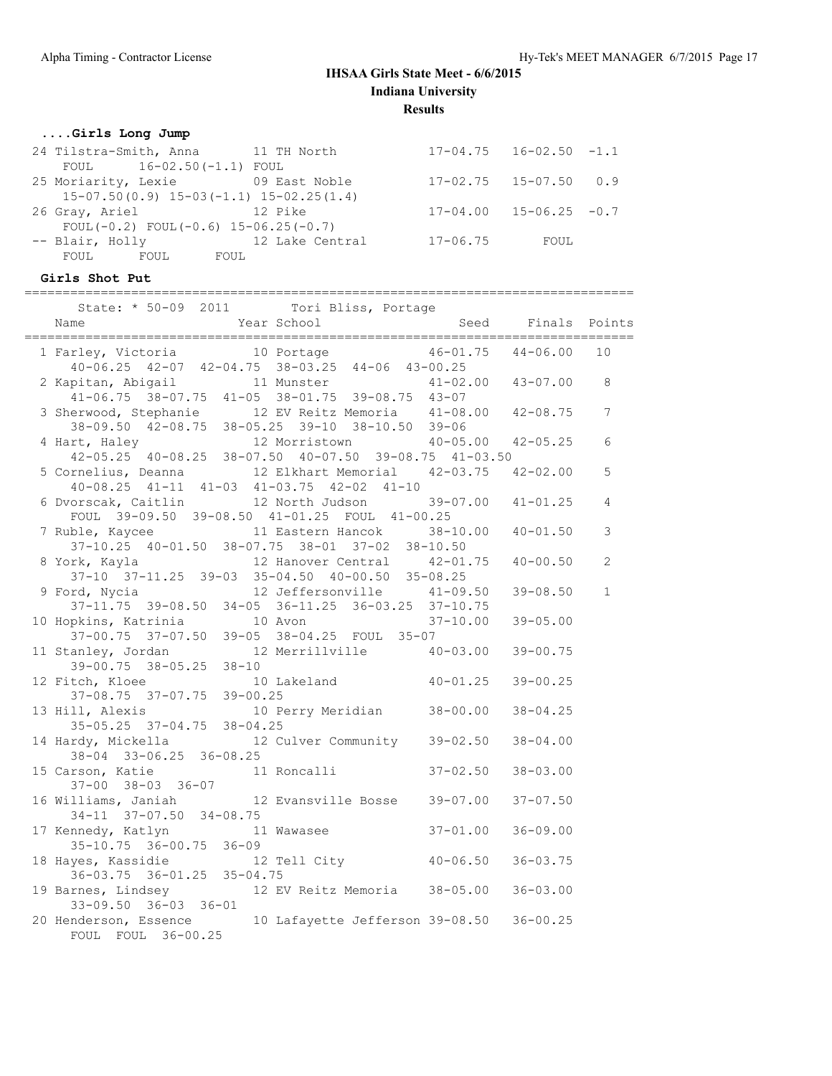## **....Girls Long Jump**

| 24 Tilstra-Smith, Anna 11 TH North            |                     |              | $17-04.75$ $16-02.50$ $-1.1$     |  |  |  |
|-----------------------------------------------|---------------------|--------------|----------------------------------|--|--|--|
| FOUL 16-02.50(-1.1) FOUL                      |                     |              |                                  |  |  |  |
| 25 Moriarity, Lexie 69 East Noble             |                     |              | $17-02.75$ $15-07.50$ 0.9        |  |  |  |
| $15-07.50(0.9)$ $15-03(-1.1)$ $15-02.25(1.4)$ |                     |              |                                  |  |  |  |
| 26 Gray, Ariel<br>and the 12 Pike             |                     |              | $17 - 04.00$ $15 - 06.25$ $-0.7$ |  |  |  |
| FOUL $(-0.2)$ FOUL $(-0.6)$ 15-06.25 $(-0.7)$ |                     |              |                                  |  |  |  |
| -- Blair, Holly                               | and 12 Lake Central | $17 - 06.75$ | FOUL                             |  |  |  |
| FOUL FOUL<br>FOUL                             |                     |              |                                  |  |  |  |
|                                               |                     |              |                                  |  |  |  |

# **Girls Shot Put**

| State: * 50-09 2011       | Tori Bliss, Portage                                         |              |              |        |
|---------------------------|-------------------------------------------------------------|--------------|--------------|--------|
| Name                      | Year School                                                 | Seed         | Finals       | Points |
| 1 Farley, Victoria        | 10 Portage                                                  | 46-01.75     | $44 - 06.00$ | 10     |
|                           | $40-06.25$ $42-07$ $42-04.75$ $38-03.25$ $44-06$ $43-00.25$ |              |              |        |
| 2 Kapitan, Abigail        | 11 Munster                                                  | $41 - 02.00$ | $43 - 07.00$ | 8      |
|                           | $41-06.75$ $38-07.75$ $41-05$ $38-01.75$ $39-08.75$         | $43 - 07$    |              |        |
| 3 Sherwood, Stephanie     | 12 EV Reitz Memoria 41-08.00                                |              | $42 - 08.75$ | 7      |
| $38 - 09.50$ $42 - 08.75$ | 38-05.25 39-10 38-10.50                                     | $39 - 06$    |              |        |
| 4 Hart, Haley             | 12 Morristown                                               | $40 - 05.00$ | $42 - 05.25$ | 6      |
| $42 - 05.25$ $40 - 08.25$ | 38-07.50 40-07.50 39-08.75                                  | $41 - 03.50$ |              |        |
| 5 Cornelius, Deanna       | 12 Elkhart Memorial                                         | 42-03 75     | $42 - 0200$  | 5      |

|                                  | TI VV.IJ JU VI.IJ TI VJ JU VI.IJ JJ VU.IJ TJ VI                                                          |              |                |
|----------------------------------|----------------------------------------------------------------------------------------------------------|--------------|----------------|
|                                  | 3 Sherwood, Stephanie 12 EV Reitz Memoria 41-08.00 42-08.75 7                                            |              |                |
|                                  | 38-09.50 42-08.75 38-05.25 39-10 38-10.50 39-06                                                          |              |                |
|                                  |                                                                                                          |              |                |
|                                  | 4 Hart, Haley 12 Morristown 40-05.00 42-05.25 6<br>42-05.25 40-08.25 38-07.50 40-07.50 39-08.75 41-03.50 |              |                |
|                                  | 5 Cornelius, Deanna 12 Elkhart Memorial 42-03.75 42-02.00                                                |              | 5              |
|                                  | $40-08.25$ $41-11$ $41-03$ $41-03.75$ $42-02$ $41-10$                                                    |              |                |
|                                  | 6 Dvorscak, Caitlin 12 North Judson 39-07.00 41-01.25                                                    |              | $\overline{4}$ |
|                                  | FOUL 39-09.50 39-08.50 41-01.25 FOUL 41-00.25                                                            |              |                |
|                                  |                                                                                                          | $40 - 01.50$ | $\mathcal{S}$  |
|                                  | 7 Ruble, Kaycee 11 Eastern Hancok 38-10.00<br>37-10.25 40-01.50 38-07.75 38-01 37-02 38-10.50            |              |                |
|                                  |                                                                                                          | $40 - 00.50$ | 2              |
|                                  | 8 York, Kayla 12 Hanover Central 42-01.75<br>37-10 37-11.25 39-03 35-04.50 40-00.50 35-08.25             |              |                |
|                                  | 9 Ford, Nycia 12 Jeffersonville 41-09.50                                                                 | $39 - 08.50$ | $\overline{1}$ |
|                                  | $37-11.75$ $39-08.50$ $34-05$ $36-11.25$ $36-03.25$ $37-10.75$                                           |              |                |
|                                  | 10 Hopkins, Katrinia 10 Avon 37-10.00                                                                    | $39 - 05.00$ |                |
|                                  | 37-00.75 37-07.50 39-05 38-04.25 FOUL 35-07                                                              |              |                |
|                                  |                                                                                                          |              |                |
| 39-00.75 38-05.25 38-10          |                                                                                                          |              |                |
|                                  | 12 Fitch, Kloee 10 Lakeland 40-01.25 39-00.25                                                            |              |                |
| 37-08.75 37-07.75 39-00.25       |                                                                                                          |              |                |
|                                  | 13 Hill, Alexis 10 Perry Meridian 38-00.00                                                               | $38 - 04.25$ |                |
| $35-05.25$ $37-04.75$ $38-04.25$ |                                                                                                          |              |                |
|                                  | 14 Hardy, Mickella 12 Culver Community 39-02.50                                                          | $38 - 04.00$ |                |
| 38-04 33-06.25 36-08.25          |                                                                                                          |              |                |
|                                  | 15 Carson, Katie 11 Roncalli 37-02.50                                                                    | $38 - 03.00$ |                |
|                                  |                                                                                                          |              |                |
|                                  | 37-00 38-03 36-07<br>16 Williams, Janiah 12 Evansville Bosse 39-07.00                                    | $37 - 07.50$ |                |
| $34-11$ $37-07.50$ $34-08.75$    |                                                                                                          |              |                |
|                                  | 17 Kennedy, Katlyn 11 Wawasee 37-01.00 36-09.00                                                          |              |                |
| $35-10.75$ $36-00.75$ $36-09$    |                                                                                                          |              |                |
|                                  | 18 Hayes, Kassidie 12 Tell City 10-06.50                                                                 | $36 - 03.75$ |                |
| $36-03.75$ $36-01.25$ $35-04.75$ |                                                                                                          |              |                |
|                                  | 19 Barnes, Lindsey 12 EV Reitz Memoria 38-05.00 36-03.00                                                 |              |                |
| $33 - 09.50$ $36 - 03$ $36 - 01$ |                                                                                                          |              |                |
|                                  | 20 Henderson, Essence 10 Lafayette Jefferson 39-08.50 36-00.25                                           |              |                |
| FOUL FOUL 36-00.25               |                                                                                                          |              |                |
|                                  |                                                                                                          |              |                |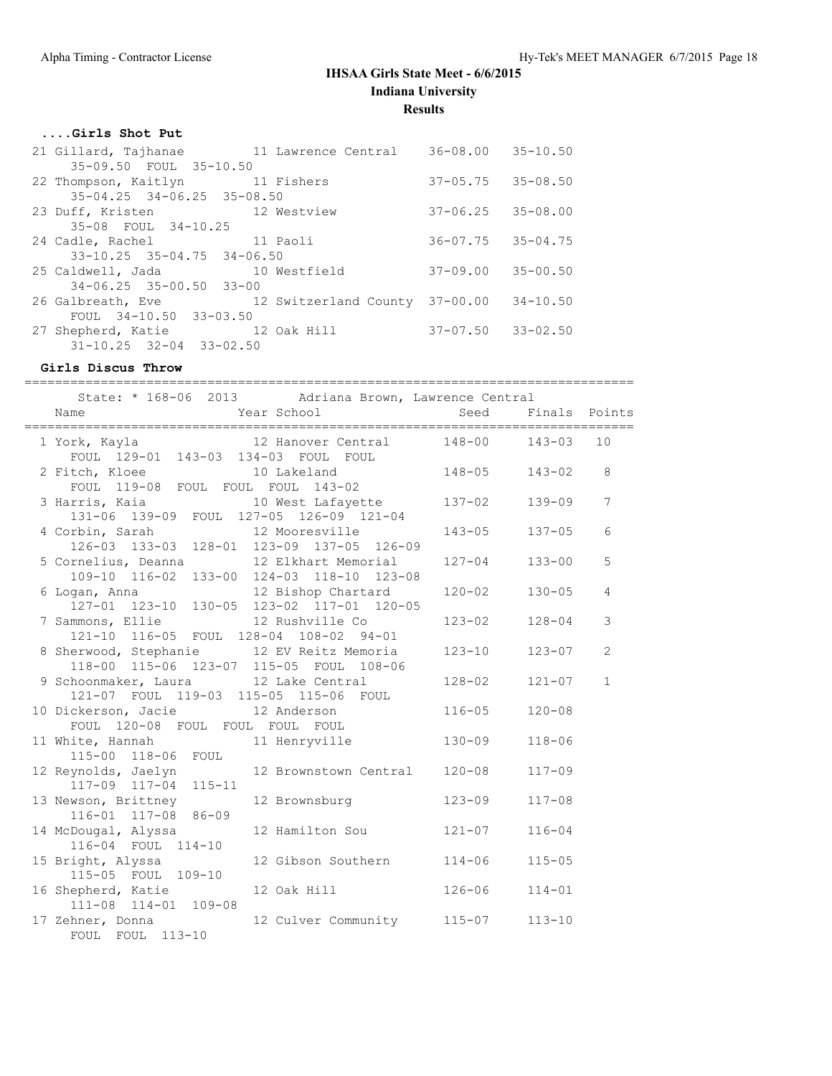# **....Girls Shot Put**

| 21 Gillard, Tajhanae                   | 11 Lawrence Central   | $36 - 08.00$              | $35 - 10.50$ |
|----------------------------------------|-----------------------|---------------------------|--------------|
| 35-09.50 FOUL 35-10.50                 |                       |                           |              |
| 22 Thompson, Kaitlyn 11 Fishers        |                       | $37 - 05.75$ $35 - 08.50$ |              |
| $35 - 04.25$ $34 - 06.25$ $35 - 08.50$ |                       |                           |              |
| 23 Duff, Kristen                       | 12 Westview           | $37 - 06.25$              | $35 - 08.00$ |
| 35-08 FOUL 34-10.25                    |                       |                           |              |
| 24 Cadle, Rachel 11 Paoli              |                       | $36 - 07.75$ $35 - 04.75$ |              |
| $33 - 10.25$ $35 - 04.75$ $34 - 06.50$ |                       |                           |              |
| 25 Caldwell, Jada 10 Westfield         |                       | 37-09.00                  | $35 - 00.50$ |
| $34 - 06.25$ $35 - 00.50$ $33 - 00$    |                       |                           |              |
| 26 Galbreath, Eve                      | 12 Switzerland County | $37 - 00.00$              | $34 - 10.50$ |
| FOUL 34-10.50 33-03.50                 |                       |                           |              |
| 27 Shepherd, Katie 12 Oak Hill         |                       | $37 - 07.50$ $33 - 02.50$ |              |
| $31 - 10.25$ $32 - 04$ $33 - 02.50$    |                       |                           |              |

# **Girls Discus Throw**

| ==================                                                            |                                                      | _____________________________ |               |                |
|-------------------------------------------------------------------------------|------------------------------------------------------|-------------------------------|---------------|----------------|
|                                                                               | State: * 168-06 2013 Adriana Brown, Lawrence Central |                               |               |                |
| Name                                                                          | Year School                                          | Seed                          | Finals Points |                |
|                                                                               |                                                      |                               |               |                |
| 1 York, Kayla<br>FOUL 129-01 143-03 134-03 FOUL FOUL                          | 12 Hanover Central 148-00                            |                               | $143 - 03$    | 10             |
| 2 Fitch, Kloee                                                                | 10 Lakeland                                          | $148 - 05$                    | $143 - 02$    | 8              |
| FOUL 119-08 FOUL FOUL FOUL 143-02                                             |                                                      |                               |               |                |
| 3 Harris, Kaia                                                                | 10 West Lafayette                                    | $137 - 02$                    | $139 - 09$    | $\overline{7}$ |
| 131-06 139-09 FOUL 127-05 126-09 121-04                                       |                                                      |                               |               |                |
| 4 Corbin, Sarah                                                               | 12 Mooresville                                       | 143-05                        | $137 - 05$    | 6              |
| 126-03 133-03 128-01 123-09 137-05 126-09                                     |                                                      |                               |               |                |
| 5 Cornelius, Deanna                                                           | 12 Elkhart Memorial                                  | $127 - 04$                    | $133 - 00$    | 5              |
| 109-10 116-02 133-00 124-03 118-10 123-08                                     |                                                      |                               |               |                |
| 6 Logan, Anna 12 Bishop Chartard<br>127-01 123-10 130-05 123-02 117-01 120-05 |                                                      | $120 - 02$                    | $130 - 05$    | 4              |
|                                                                               |                                                      |                               |               | 3              |
| 7 Sammons, Ellie<br>121-10 116-05 FOUL 128-04 108-02 94-01                    | 12 Rushville Co                                      | $123 - 02$                    | $128 - 04$    |                |
| 8 Sherwood, Stephanie 12 EV Reitz Memoria                                     |                                                      | $123 - 10$                    | $123 - 07$    | $\overline{2}$ |
| 118-00 115-06 123-07 115-05 FOUL 108-06                                       |                                                      |                               |               |                |
| 9 Schoonmaker, Laura 12 Lake Central                                          |                                                      | $128 - 02$                    | $121 - 07$    | $\mathbf{1}$   |
| 121-07 FOUL 119-03 115-05 115-06 FOUL                                         |                                                      |                               |               |                |
| 10 Dickerson, Jacie                                                           | 12 Anderson                                          | $116 - 05$                    | $120 - 08$    |                |
| FOUL 120-08 FOUL FOUL FOUL FOUL                                               |                                                      |                               |               |                |
| 11 White, Hannah                                                              | 11 Henryville                                        | $130 - 09$                    | $118 - 06$    |                |
| 115-00 118-06 FOUL                                                            |                                                      |                               |               |                |
| 12 Reynolds, Jaelyn                                                           | 12 Brownstown Central                                | $120 - 08$                    | $117 - 09$    |                |
| 117-09 117-04 115-11<br>13 Newson, Brittney                                   | 12 Brownsburg                                        | $123 - 09$                    | $117 - 08$    |                |
| 116-01 117-08 86-09                                                           |                                                      |                               |               |                |
| 14 McDougal, Alyssa                                                           | 12 Hamilton Sou                                      | $121 - 07$                    | $116 - 04$    |                |
| 116-04 FOUL 114-10                                                            |                                                      |                               |               |                |
| 15 Bright, Alyssa                                                             | 12 Gibson Southern                                   | $114 - 06$                    | $115 - 05$    |                |
| 115-05 FOUL 109-10                                                            |                                                      |                               |               |                |
| 16 Shepherd, Katie                                                            | 12 Oak Hill                                          | $126 - 06$                    | $114 - 01$    |                |
| 111-08 114-01 109-08                                                          |                                                      |                               |               |                |
| 17 Zehner, Donna                                                              | 12 Culver Community                                  | $115 - 07$                    | $113 - 10$    |                |
| FOUL FOUL 113-10                                                              |                                                      |                               |               |                |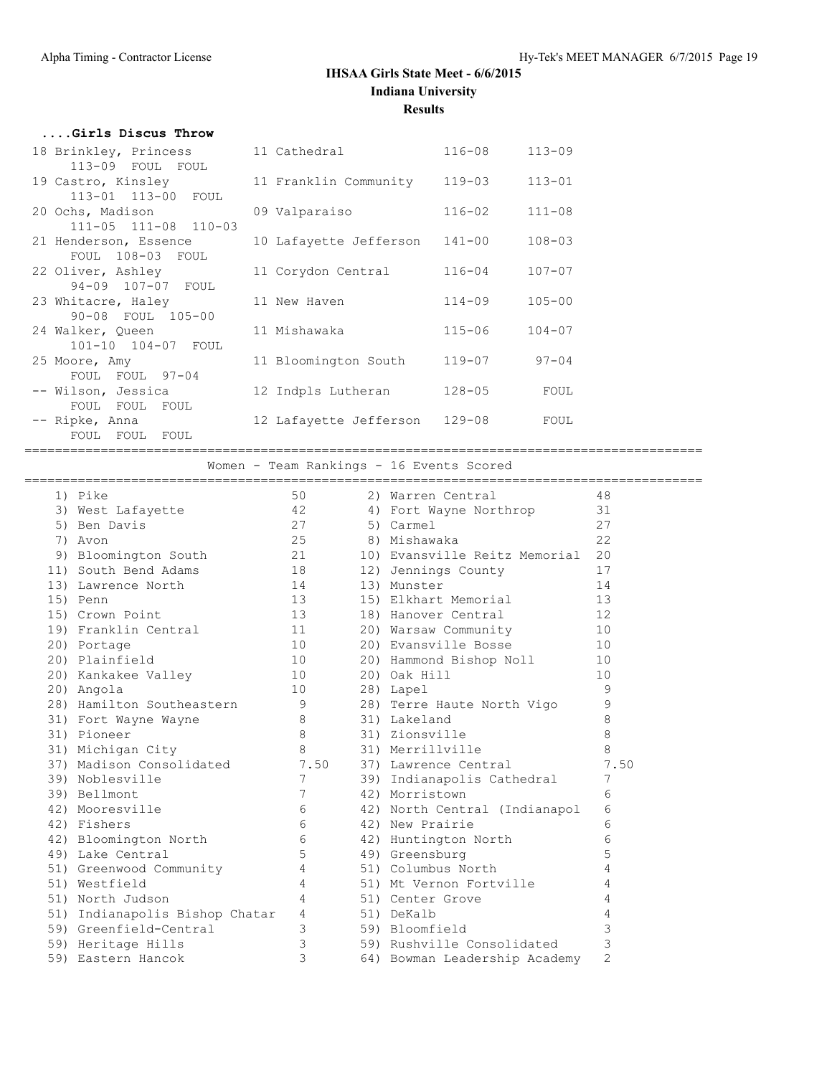| Girls Discus Throw    |                        |            |            |
|-----------------------|------------------------|------------|------------|
| 18 Brinkley, Princess | 11 Cathedral           | 116-08     | $113 - 09$ |
| 113-09 FOUL FOUL      |                        |            |            |
| 19 Castro, Kinsley    | 11 Franklin Community  | $119 - 03$ | $113 - 01$ |
| 113-01 113-00 FOUL    |                        |            |            |
| 20 Ochs, Madison      | 09 Valparaiso          | $116 - 02$ | $111 - 08$ |
| 111-05 111-08 110-03  |                        |            |            |
| 21 Henderson, Essence | 10 Lafayette Jefferson | $141 - 00$ | $108 - 03$ |
| FOUL 108-03 FOUL      |                        |            |            |
| 22 Oliver, Ashley     | 11 Corydon Central     | $116 - 04$ | $107 - 07$ |
| 94-09 107-07 FOUL     |                        |            |            |
| 23 Whitacre, Haley    | 11 New Haven           | $114 - 09$ | $105 - 00$ |
| 90-08 FOUL 105-00     |                        |            |            |
| 24 Walker, Queen      | 11 Mishawaka           | $115 - 06$ | $104 - 07$ |
| 101-10 104-07 FOUL    |                        |            |            |
| 25 Moore, Amy         | 11 Bloomington South   | 119-07     | $97 - 04$  |
| FOUL FOUL 97-04       |                        |            |            |
| -- Wilson, Jessica    | 12 Indpls Lutheran     | $128 - 05$ | FOUL       |
| FOUL FOUL FOUL        |                        |            |            |
| -- Ripke, Anna        | 12 Lafayette Jefferson | 129-08     | FOUL       |
| FOUL FOUL FOUL        |                        |            |            |

=========================================================================================

Women - Team Rankings - 16 Events Scored

| 1) Pike                                                   | 50                                         | 2) Warren Central                | 48             |
|-----------------------------------------------------------|--------------------------------------------|----------------------------------|----------------|
| 3) West Lafayette 42                                      |                                            | 4) Fort Wayne Northrop           | 31             |
| 27<br>5) Ben Davis                                        |                                            | 5) Carmel                        | 27             |
| 25<br>7) Avon                                             |                                            | 8) Mishawaka                     | 22             |
| 9) Bloomington South 21                                   |                                            | 10) Evansville Reitz Memorial 20 |                |
| 11) South Bend Adams 18                                   |                                            | 12) Jennings County              | 17             |
| 13) Lawrence North                                        | 14                                         | 13) Munster                      | 14             |
| 15) Penn                                                  | 13                                         | 15) Elkhart Memorial             | 13             |
| 15) Crown Point 13                                        |                                            | 18) Hanover Central              | 12             |
| 19) Franklin Central 11                                   |                                            | 20) Warsaw Community             | 10             |
| 20) Portage                                               |                                            | 20) Evansville Bosse             | 10             |
| $\begin{array}{c} 10 \\ 10 \end{array}$<br>20) Plainfield |                                            | 20) Hammond Bishop Noll 10       |                |
| 20) Kankakee Valley 10                                    |                                            | 20) Oak Hill                     | 10             |
| 10<br>20) Angola                                          |                                            | 28) Lapel                        | 9              |
| 28) Hamilton Southeastern 9                               |                                            | 28) Terre Haute North Vigo       | 9              |
| 8 <sup>1</sup><br>31) Fort Wayne Wayne                    |                                            | 31) Lakeland                     | 8              |
| 31) Pioneer                                               | $8 - 8$                                    | 31) Zionsville                   | $\,8\,$        |
| 31) Michigan City 8                                       |                                            | 31) Merrillville                 | 8              |
| 37) Madison Consolidated 7.50                             |                                            | 37) Lawrence Central             | 7.50           |
| 39) Noblesville                                           | $7\overline{ }$                            | 39) Indianapolis Cathedral       | 7              |
| 39) Bellmont                                              |                                            | 42) Morristown                   | 6              |
| 42) Mooresville                                           |                                            | 42) North Central (Indianapol    | 6              |
| 42) Fishers                                               | $\begin{array}{c} 7 \\ 6 \\ 6 \end{array}$ | 42) New Prairie                  | 6              |
| 42) Bloomington North 6<br>49) Lake Central 5             |                                            | 42) Huntington North             | 6              |
|                                                           |                                            | 49) Greensburg                   | 5              |
| 51) Greenwood Community                                   | $4\overline{ }$                            | 51) Columbus North               | 4              |
| 51) Westfield                                             | $\overline{4}$                             | 51) Mt Vernon Fortville          | 4              |
| 51) North Judson                                          | $\overline{4}$                             | 51) Center Grove                 | 4              |
| 51) Indianapolis Bishop Chatar 4                          |                                            | 51) DeKalb                       | 4              |
| 59) Greenfield-Central                                    | $\overline{3}$                             | 59) Bloomfield                   | 3              |
| 59) Heritage Hills                                        | $\mathcal{S}$                              | 59) Rushville Consolidated       | 3              |
| 59) Eastern Hancok                                        | 3                                          | 64) Bowman Leadership Academy    | $\overline{2}$ |